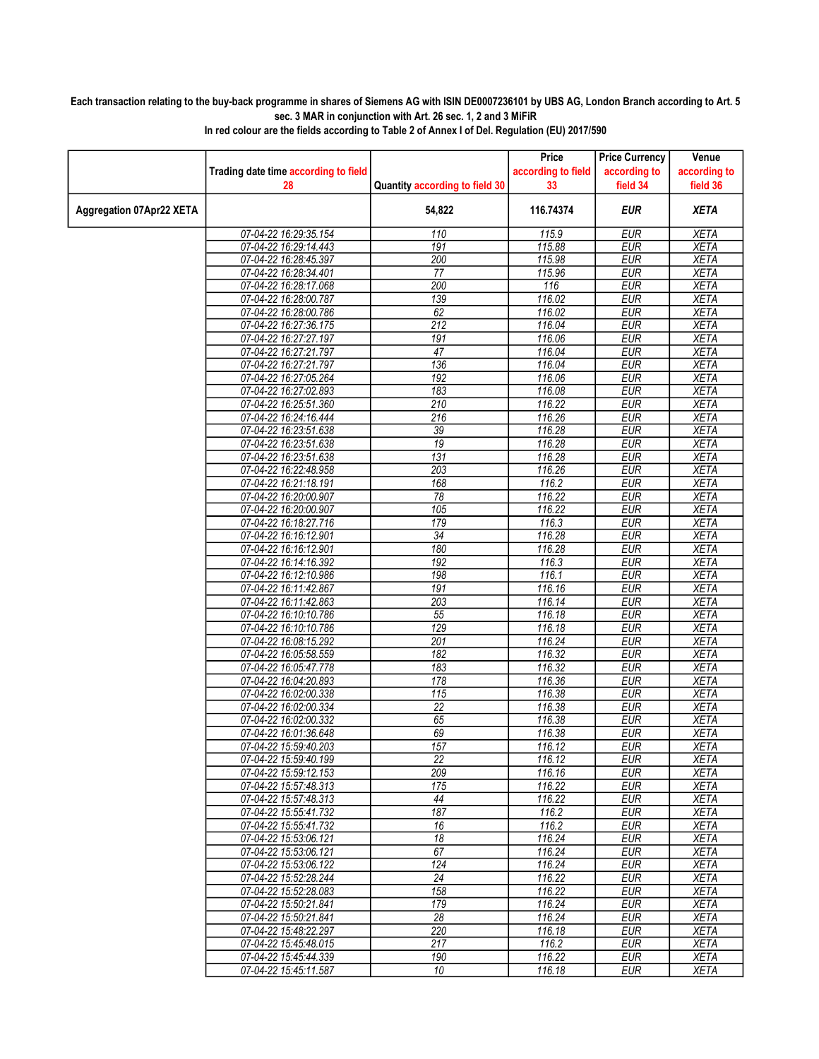## Each transaction relating to the buy-back programme in shares of Siemens AG with ISIN DE0007236101 by UBS AG, London Branch according to Art. 5 sec. 3 MAR in conjunction with Art. 26 sec. 1, 2 and 3 MiFiR

|                          |                                      |                                | Price              | <b>Price Currency</b> | Venue        |
|--------------------------|--------------------------------------|--------------------------------|--------------------|-----------------------|--------------|
|                          | Trading date time according to field |                                | according to field | according to          | according to |
|                          | 28                                   | Quantity according to field 30 | 33                 | field 34              | field 36     |
| Aggregation 07Apr22 XETA |                                      | 54,822                         | 116.74374          | <b>EUR</b>            | <b>XETA</b>  |
|                          | 07-04-22 16:29:35.154                | 110                            | 115.9              | <b>EUR</b>            | <b>XETA</b>  |
|                          | 07-04-22 16:29:14.443                | 191                            | 115.88             | <b>EUR</b>            | <b>XETA</b>  |
|                          | 07-04-22 16:28:45.397                | 200                            | 115.98             | <b>EUR</b>            | <b>XETA</b>  |
|                          | 07-04-22 16:28:34.401                | 77                             | 115.96             | <b>EUR</b>            | <b>XETA</b>  |
|                          | 07-04-22 16:28:17.068                | 200                            | 116                | <b>EUR</b>            | <b>XETA</b>  |
|                          | 07-04-22 16:28:00.787                | 139                            | 116.02             | <b>EUR</b>            | <b>XETA</b>  |
|                          | 07-04-22 16:28:00.786                | 62                             | 116.02             | <b>EUR</b>            | <b>XETA</b>  |
|                          | 07-04-22 16:27:36.175                | 212                            | 116.04             | <b>EUR</b>            | <b>XETA</b>  |
|                          | 07-04-22 16:27:27.197                | 191                            | 116.06             | <b>EUR</b>            | <b>XETA</b>  |
|                          | 07-04-22 16:27:21.797                | 47                             | 116.04             | <b>EUR</b>            | <b>XETA</b>  |
|                          | 07-04-22 16:27:21.797                | 136                            | 116.04             | <b>EUR</b>            | <b>XETA</b>  |
|                          | 07-04-22 16:27:05.264                | 192                            | 116.06             | <b>EUR</b>            | <b>XETA</b>  |
|                          | 07-04-22 16:27:02.893                | 183                            | 116.08             | <b>EUR</b>            | <b>XETA</b>  |
|                          | 07-04-22 16:25:51.360                | 210                            | 116.22             | <b>EUR</b>            | <b>XETA</b>  |
|                          | 07-04-22 16:24:16.444                | 216                            | 116.26             | <b>EUR</b>            | <b>XETA</b>  |
|                          | 07-04-22 16:23:51.638                | $\overline{39}$                | 116.28             | <b>EUR</b>            | <b>XETA</b>  |
|                          | 07-04-22 16:23:51.638                | $\overline{19}$                | 116.28             | <b>EUR</b>            | <b>XETA</b>  |
|                          | 07-04-22 16:23:51.638                | 131                            | 116.28             | <b>EUR</b>            | <b>XETA</b>  |
|                          | 07-04-22 16:22:48.958                | $\overline{203}$               | 116.26             | <b>EUR</b>            | <b>XETA</b>  |
|                          | 07-04-22 16:21:18.191                | 168                            | 116.2              | <b>EUR</b>            | <b>XETA</b>  |
|                          | 07-04-22 16:20:00.907                | 78                             | 116.22             | <b>EUR</b>            | <b>XETA</b>  |
|                          | 07-04-22 16:20:00.907                | 105                            | 116.22             | <b>EUR</b>            | <b>XETA</b>  |
|                          | 07-04-22 16:18:27.716                | 179                            | 116.3              | <b>EUR</b>            | <b>XETA</b>  |
|                          | 07-04-22 16:16:12.901                | 34                             | 116.28             | <b>EUR</b>            | <b>XETA</b>  |
|                          | 07-04-22 16:16:12.901                | 180                            | 116.28             | <b>EUR</b>            | <b>XETA</b>  |
|                          | 07-04-22 16:14:16.392                | 192                            | 116.3              | <b>EUR</b>            | <b>XETA</b>  |
|                          | 07-04-22 16:12:10.986                | 198                            | 116.1              | <b>EUR</b>            | <b>XETA</b>  |
|                          | 07-04-22 16:11:42.867                | 191                            | 116.16             | <b>EUR</b>            | <b>XETA</b>  |
|                          | 07-04-22 16:11:42.863                | 203                            | 116.14             | <b>EUR</b>            | <b>XETA</b>  |
|                          | 07-04-22 16:10:10.786                | 55                             | 116.18             | <b>EUR</b>            | <b>XETA</b>  |
|                          | 07-04-22 16:10:10.786                | 129                            | 116.18             | <b>EUR</b>            | <b>XETA</b>  |
|                          | 07-04-22 16:08:15.292                | 201                            | 116.24             | <b>EUR</b>            | <b>XETA</b>  |
|                          | 07-04-22 16:05:58.559                | 182                            | 116.32             | <b>EUR</b>            | <b>XETA</b>  |
|                          | 07-04-22 16:05:47.778                | 183                            | 116.32             | <b>EUR</b>            | <b>XETA</b>  |
|                          | 07-04-22 16:04:20.893                | 178                            | 116.36             | <b>EUR</b>            | <b>XETA</b>  |
|                          | 07-04-22 16:02:00.338                | 115                            | 116.38             | <b>EUR</b>            | <b>XETA</b>  |
|                          | 07-04-22 16:02:00.334                | $\overline{22}$                | 116.38             | <b>EUR</b>            | <b>XETA</b>  |
|                          | 07-04-22 16:02:00.332                | 65                             | 116.38             | <b>EUR</b>            | <b>XETA</b>  |
|                          | 07-04-22 16:01:36.648                | 69                             | 116.38             | <b>EUR</b>            | <b>XETA</b>  |
|                          | 07-04-22 15:59:40.203                | 157                            | 116.12             | <b>FUR</b>            | <b>XETA</b>  |
|                          | 07-04-22 15:59:40.199                | 22                             | 116.12             | <b>EUR</b>            | <b>XETA</b>  |
|                          | 07-04-22 15:59:12.153                | 209                            | 116.16             | <b>EUR</b>            | <b>XETA</b>  |
|                          | 07-04-22 15:57:48.313                | 175                            | 116.22             | <b>EUR</b>            | XETA         |
|                          | 07-04-22 15:57:48.313                | 44                             | 116.22             | <b>EUR</b>            | <b>XETA</b>  |
|                          | 07-04-22 15:55:41.732                | 187                            | 116.2              | <b>EUR</b>            | <b>XETA</b>  |
|                          | 07-04-22 15:55:41.732                | 16                             | 116.2              | <b>EUR</b>            | <b>XETA</b>  |
|                          | 07-04-22 15:53:06.121                | 18                             | 116.24             | <b>EUR</b>            | <b>XETA</b>  |
|                          | 07-04-22 15:53:06.121                | 67                             | 116.24             | <b>EUR</b>            | <b>XETA</b>  |
|                          | 07-04-22 15:53:06.122                | 124                            | 116.24             | <b>EUR</b>            | XETA         |
|                          | 07-04-22 15:52:28.244                | 24                             | 116.22             | <b>EUR</b>            | <b>XETA</b>  |
|                          | 07-04-22 15:52:28.083                | 158                            | 116.22             | <b>EUR</b>            | <b>XETA</b>  |
|                          | 07-04-22 15:50:21.841                | 179                            | 116.24             | <b>EUR</b>            | <b>XETA</b>  |
|                          | 07-04-22 15:50:21.841                | $\overline{28}$                | 116.24             | <b>EUR</b>            | <b>XETA</b>  |
|                          | 07-04-22 15:48:22.297                | 220                            | 116.18             | <b>EUR</b>            | XETA         |
|                          | 07-04-22 15:45:48.015                | 217                            | 116.2              | <b>EUR</b>            | <b>XETA</b>  |
|                          | 07-04-22 15:45:44.339                | 190                            | 116.22             | <b>EUR</b>            | <b>XETA</b>  |
|                          | 07-04-22 15:45:11.587                | 10                             | 116.18             | <b>EUR</b>            | XETA         |
|                          |                                      |                                |                    |                       |              |

In red colour are the fields according to Table 2 of Annex I of Del. Regulation (EU) 2017/590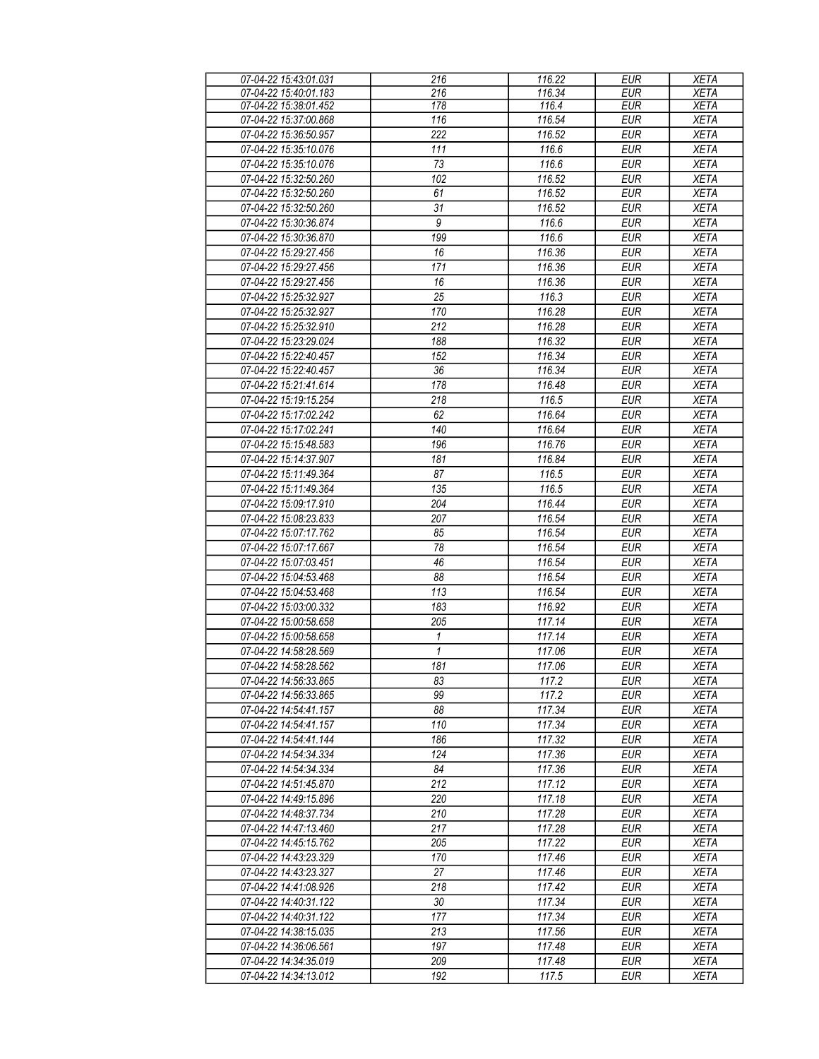| 07-04-22 15:43:01.031 | 216              | 116.22 | <b>EUR</b> | <b>XETA</b> |
|-----------------------|------------------|--------|------------|-------------|
| 07-04-22 15:40:01.183 | 216              | 116.34 | <b>EUR</b> | <b>XETA</b> |
| 07-04-22 15:38:01.452 | 178              | 116.4  | <b>EUR</b> | <b>XETA</b> |
| 07-04-22 15:37:00.868 | 116              | 116.54 | <b>EUR</b> | <b>XETA</b> |
| 07-04-22 15:36:50.957 | $\overline{222}$ | 116.52 | <b>EUR</b> | <b>XETA</b> |
| 07-04-22 15:35:10.076 | 111              | 116.6  | <b>EUR</b> | <b>XETA</b> |
| 07-04-22 15:35:10.076 | 73               | 116.6  | <b>EUR</b> | <b>XETA</b> |
| 07-04-22 15:32:50.260 | 102              | 116.52 | <b>EUR</b> | <b>XETA</b> |
|                       |                  |        |            |             |
| 07-04-22 15:32:50.260 | 61               | 116.52 | <b>EUR</b> | <b>XETA</b> |
| 07-04-22 15:32:50.260 | 31               | 116.52 | <b>EUR</b> | <b>XETA</b> |
| 07-04-22 15:30:36.874 | $\boldsymbol{9}$ | 116.6  | <b>EUR</b> | <b>XETA</b> |
| 07-04-22 15:30:36.870 | 199              | 116.6  | <b>EUR</b> | <b>XETA</b> |
| 07-04-22 15:29:27.456 | 16               | 116.36 | <b>EUR</b> | <b>XETA</b> |
| 07-04-22 15:29:27.456 | 171              | 116.36 | <b>EUR</b> | <b>XETA</b> |
| 07-04-22 15:29:27.456 | 16               | 116.36 | <b>EUR</b> | <b>XETA</b> |
| 07-04-22 15:25:32.927 | $\overline{25}$  | 116.3  | <b>EUR</b> | <b>XETA</b> |
| 07-04-22 15:25:32.927 | 170              | 116.28 | <b>EUR</b> | <b>XETA</b> |
| 07-04-22 15:25:32.910 | 212              | 116.28 | <b>EUR</b> | <b>XETA</b> |
| 07-04-22 15:23:29.024 | 188              | 116.32 | <b>EUR</b> | <b>XETA</b> |
| 07-04-22 15:22:40.457 | 152              | 116.34 | <b>EUR</b> | <b>XETA</b> |
|                       |                  |        |            |             |
| 07-04-22 15:22:40.457 | 36               | 116.34 | <b>EUR</b> | <b>XETA</b> |
| 07-04-22 15:21:41.614 | 178              | 116.48 | <b>EUR</b> | <b>XETA</b> |
| 07-04-22 15:19:15.254 | $\overline{218}$ | 116.5  | <b>EUR</b> | <b>XETA</b> |
| 07-04-22 15:17:02.242 | 62               | 116.64 | <b>EUR</b> | <b>XETA</b> |
| 07-04-22 15:17:02.241 | 140              | 116.64 | <b>EUR</b> | <b>XETA</b> |
| 07-04-22 15:15:48.583 | 196              | 116.76 | <b>EUR</b> | <b>XETA</b> |
| 07-04-22 15:14:37.907 | 181              | 116.84 | <b>EUR</b> | <b>XETA</b> |
| 07-04-22 15:11:49.364 | 87               | 116.5  | <b>EUR</b> | <b>XETA</b> |
| 07-04-22 15:11:49.364 | 135              | 116.5  | <b>EUR</b> | <b>XETA</b> |
| 07-04-22 15:09:17.910 | $\overline{204}$ | 116.44 | <b>EUR</b> | <b>XETA</b> |
| 07-04-22 15:08:23.833 | 207              | 116.54 | <b>EUR</b> | <b>XETA</b> |
| 07-04-22 15:07:17.762 | 85               | 116.54 | <b>EUR</b> | <b>XETA</b> |
| 07-04-22 15:07:17.667 | 78               | 116.54 | <b>EUR</b> | <b>XETA</b> |
|                       | 46               |        |            |             |
| 07-04-22 15:07:03.451 |                  | 116.54 | <b>EUR</b> | <b>XETA</b> |
| 07-04-22 15:04:53.468 | 88               | 116.54 | <b>EUR</b> | <b>XETA</b> |
| 07-04-22 15:04:53.468 | 113              | 116.54 | <b>EUR</b> | <b>XETA</b> |
| 07-04-22 15:03:00.332 | 183              | 116.92 | <b>EUR</b> | <b>XETA</b> |
| 07-04-22 15:00:58.658 | 205              | 117.14 | <b>EUR</b> | <b>XETA</b> |
| 07-04-22 15:00:58.658 | 1                | 117.14 | <b>EUR</b> | <b>XETA</b> |
| 07-04-22 14:58:28.569 | 1                | 117.06 | <b>EUR</b> | <b>XETA</b> |
| 07-04-22 14:58:28.562 | 181              | 117.06 | <b>EUR</b> | <b>XETA</b> |
| 07-04-22 14:56:33.865 | 83               | 117.2  | <b>EUR</b> | <b>XETA</b> |
| 07-04-22 14:56:33.865 | 99               | 117.2  | <b>EUR</b> | <b>XETA</b> |
| 07-04-22 14:54:41.157 | 88               | 117.34 | <b>EUR</b> | <b>XETA</b> |
| 07-04-22 14:54:41.157 | 110              | 117.34 | <b>EUR</b> | <b>XETA</b> |
| 07-04-22 14:54:41.144 | 186              | 117.32 | <b>EUR</b> | <b>XETA</b> |
| 07-04-22 14:54:34.334 | 124              | 117.36 | <b>EUR</b> | <b>XETA</b> |
| 07-04-22 14:54:34.334 | 84               | 117.36 | <b>EUR</b> | <b>XETA</b> |
|                       | 212              |        |            |             |
| 07-04-22 14:51:45.870 |                  | 117.12 | <b>EUR</b> | <b>XETA</b> |
| 07-04-22 14:49:15.896 | 220              | 117.18 | <b>EUR</b> | <b>XETA</b> |
| 07-04-22 14:48:37.734 | 210              | 117.28 | <b>EUR</b> | <b>XETA</b> |
| 07-04-22 14:47:13.460 | 217              | 117.28 | <b>EUR</b> | <b>XETA</b> |
| 07-04-22 14:45:15.762 | 205              | 117.22 | <b>EUR</b> | <b>XETA</b> |
| 07-04-22 14:43:23.329 | 170              | 117.46 | <b>EUR</b> | <b>XETA</b> |
| 07-04-22 14:43:23.327 | 27               | 117.46 | <b>EUR</b> | <b>XETA</b> |
| 07-04-22 14:41:08.926 | 218              | 117.42 | <b>EUR</b> | <b>XETA</b> |
| 07-04-22 14:40:31.122 | 30               | 117.34 | <b>EUR</b> | <b>XETA</b> |
| 07-04-22 14:40:31.122 | 177              | 117.34 | <b>EUR</b> | <b>XETA</b> |
| 07-04-22 14:38:15.035 | 213              | 117.56 | <b>EUR</b> | <b>XETA</b> |
| 07-04-22 14:36:06.561 | 197              | 117.48 | <b>EUR</b> | <b>XETA</b> |
|                       |                  |        |            |             |
| 07-04-22 14:34:35.019 | 209              | 117.48 | <b>EUR</b> | <b>XETA</b> |
| 07-04-22 14:34:13.012 | 192              | 117.5  | <b>EUR</b> | <b>XETA</b> |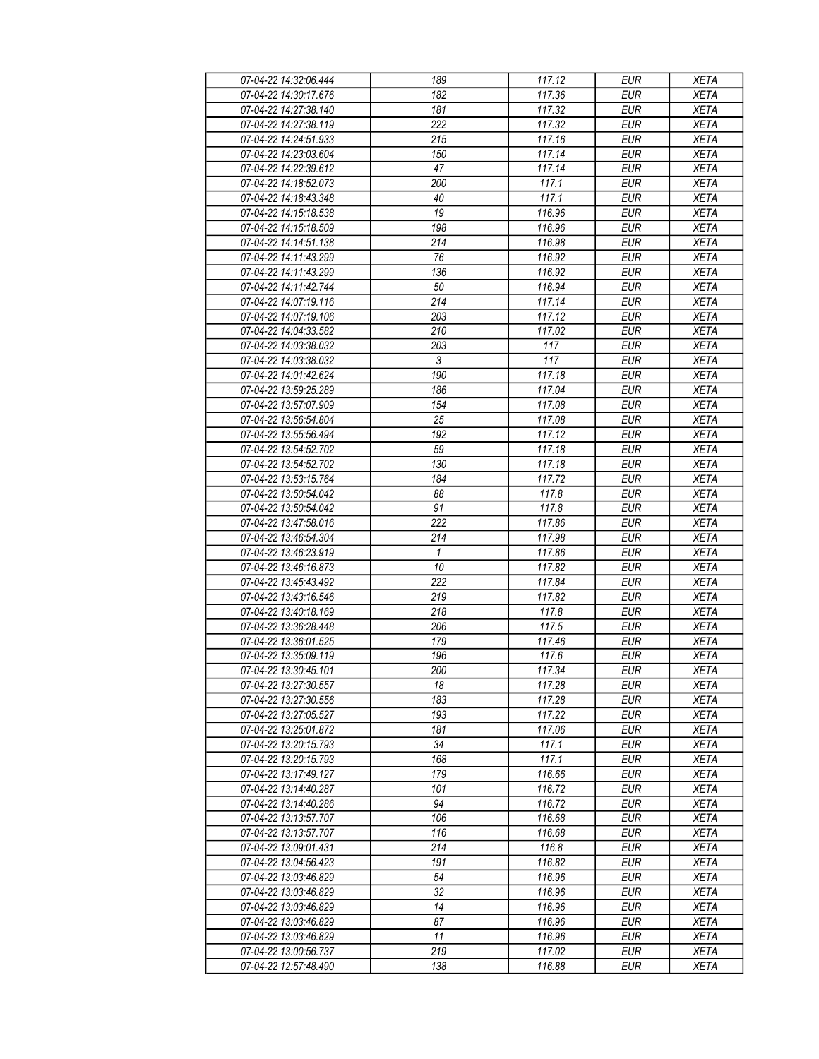| 07-04-22 14:32:06.444 | 189        | 117.12 | <b>EUR</b> | <b>XETA</b> |
|-----------------------|------------|--------|------------|-------------|
| 07-04-22 14:30:17.676 | 182        | 117.36 | <b>EUR</b> | <b>XETA</b> |
| 07-04-22 14:27:38.140 | 181        | 117.32 | <b>EUR</b> | <b>XETA</b> |
| 07-04-22 14:27:38.119 | 222        | 117.32 | <b>EUR</b> | <b>XETA</b> |
| 07-04-22 14:24:51.933 | 215        | 117.16 | <b>EUR</b> | <b>XETA</b> |
| 07-04-22 14:23:03.604 | 150        | 117.14 | <b>EUR</b> | <b>XETA</b> |
| 07-04-22 14:22:39.612 | 47         | 117.14 | <b>EUR</b> | <b>XETA</b> |
| 07-04-22 14:18:52.073 | 200        | 117.1  | <b>EUR</b> | <b>XETA</b> |
| 07-04-22 14:18:43.348 | 40         | 117.1  | <b>EUR</b> | <b>XETA</b> |
| 07-04-22 14:15:18.538 | 19         | 116.96 | <b>EUR</b> | <b>XETA</b> |
| 07-04-22 14:15:18.509 | 198        | 116.96 | <b>EUR</b> | <b>XETA</b> |
| 07-04-22 14:14:51.138 | 214        | 116.98 | <b>EUR</b> | <b>XETA</b> |
| 07-04-22 14:11:43.299 | 76         | 116.92 | <b>EUR</b> | <b>XETA</b> |
| 07-04-22 14:11:43.299 | 136        | 116.92 | <b>EUR</b> | <b>XETA</b> |
| 07-04-22 14:11:42.744 | 50         | 116.94 | <b>EUR</b> | <b>XETA</b> |
| 07-04-22 14:07:19.116 | 214        | 117.14 | <b>EUR</b> | <b>XETA</b> |
| 07-04-22 14:07:19.106 | 203        | 117.12 | EUR        | <b>XETA</b> |
| 07-04-22 14:04:33.582 | 210        | 117.02 |            | <b>XETA</b> |
|                       |            |        | <b>EUR</b> |             |
| 07-04-22 14:03:38.032 | 203        | 117    | <b>EUR</b> | <b>XETA</b> |
| 07-04-22 14:03:38.032 | $\sqrt{3}$ | 117    | <b>EUR</b> | <b>XETA</b> |
| 07-04-22 14:01:42.624 | 190        | 117.18 | <b>EUR</b> | <b>XETA</b> |
| 07-04-22 13:59:25.289 | 186        | 117.04 | <b>EUR</b> | <b>XETA</b> |
| 07-04-22 13:57:07.909 | 154        | 117.08 | <b>EUR</b> | <b>XETA</b> |
| 07-04-22 13:56:54.804 | 25         | 117.08 | <b>EUR</b> | <b>XETA</b> |
| 07-04-22 13:55:56.494 | 192        | 117.12 | <b>EUR</b> | <b>XETA</b> |
| 07-04-22 13:54:52.702 | 59         | 117.18 | EUR        | <b>XETA</b> |
| 07-04-22 13:54:52.702 | 130        | 117.18 | <b>EUR</b> | <b>XETA</b> |
| 07-04-22 13:53:15.764 | 184        | 117.72 | <b>EUR</b> | <b>XETA</b> |
| 07-04-22 13:50:54.042 | 88         | 117.8  | <b>EUR</b> | <b>XETA</b> |
| 07-04-22 13:50:54.042 | 91         | 117.8  | <b>EUR</b> | <b>XETA</b> |
| 07-04-22 13:47:58.016 | 222        | 117.86 | <b>EUR</b> | <b>XETA</b> |
| 07-04-22 13:46:54.304 | 214        | 117.98 | <b>EUR</b> | <b>XETA</b> |
| 07-04-22 13:46:23.919 | 1          | 117.86 | <b>EUR</b> | <b>XETA</b> |
| 07-04-22 13:46:16.873 | 10         | 117.82 | <b>EUR</b> | <b>XETA</b> |
| 07-04-22 13:45:43.492 | 222        | 117.84 | <b>EUR</b> | <b>XETA</b> |
| 07-04-22 13:43:16.546 | 219        | 117.82 | <b>EUR</b> | <b>XETA</b> |
| 07-04-22 13:40:18.169 | 218        | 117.8  | <b>EUR</b> | <b>XETA</b> |
| 07-04-22 13:36:28.448 | 206        | 117.5  | <b>EUR</b> | <b>XETA</b> |
| 07-04-22 13:36:01.525 | 179        | 117.46 | <b>EUR</b> | <b>XETA</b> |
| 07-04-22 13:35:09.119 | 196        | 117.6  | <b>EUR</b> | <b>XETA</b> |
| 07-04-22 13:30:45.101 | 200        | 117.34 | <b>EUR</b> | <b>XETA</b> |
| 07-04-22 13:27:30.557 | 18         | 117.28 | <b>EUR</b> | <b>XETA</b> |
| 07-04-22 13:27:30.556 | 183        | 117.28 | <b>EUR</b> | <b>XETA</b> |
| 07-04-22 13:27:05.527 | 193        | 117.22 | <b>EUR</b> | <b>XETA</b> |
| 07-04-22 13:25:01.872 | 181        | 117.06 | <b>EUR</b> | <b>XETA</b> |
| 07-04-22 13:20:15.793 | 34         | 117.1  | <b>EUR</b> | <b>XETA</b> |
| 07-04-22 13:20:15.793 | 168        | 117.1  | <b>EUR</b> | <b>XETA</b> |
| 07-04-22 13:17:49.127 | 179        | 116.66 | <b>EUR</b> | <b>XETA</b> |
| 07-04-22 13:14:40.287 | 101        | 116.72 | <b>EUR</b> | <b>XETA</b> |
| 07-04-22 13:14:40.286 | 94         | 116.72 | <b>EUR</b> | <b>XETA</b> |
| 07-04-22 13:13:57.707 | 106        | 116.68 | <b>EUR</b> | <b>XETA</b> |
| 07-04-22 13:13:57.707 | 116        | 116.68 | <b>EUR</b> | <b>XETA</b> |
| 07-04-22 13:09:01.431 | 214        | 116.8  | <b>EUR</b> | <b>XETA</b> |
| 07-04-22 13:04:56.423 | 191        | 116.82 | <b>EUR</b> | <b>XETA</b> |
| 07-04-22 13:03:46.829 | 54         | 116.96 | <b>EUR</b> | <b>XETA</b> |
| 07-04-22 13:03:46.829 | 32         | 116.96 | <b>EUR</b> | <b>XETA</b> |
| 07-04-22 13:03:46.829 | 14         | 116.96 | <b>EUR</b> | <b>XETA</b> |
| 07-04-22 13:03:46.829 | 87         | 116.96 | <b>EUR</b> | <b>XETA</b> |
| 07-04-22 13:03:46.829 | 11         | 116.96 | <b>EUR</b> | <b>XETA</b> |
| 07-04-22 13:00:56.737 | 219        | 117.02 | <b>EUR</b> | <b>XETA</b> |
| 07-04-22 12:57:48.490 | 138        | 116.88 | <b>EUR</b> | <b>XETA</b> |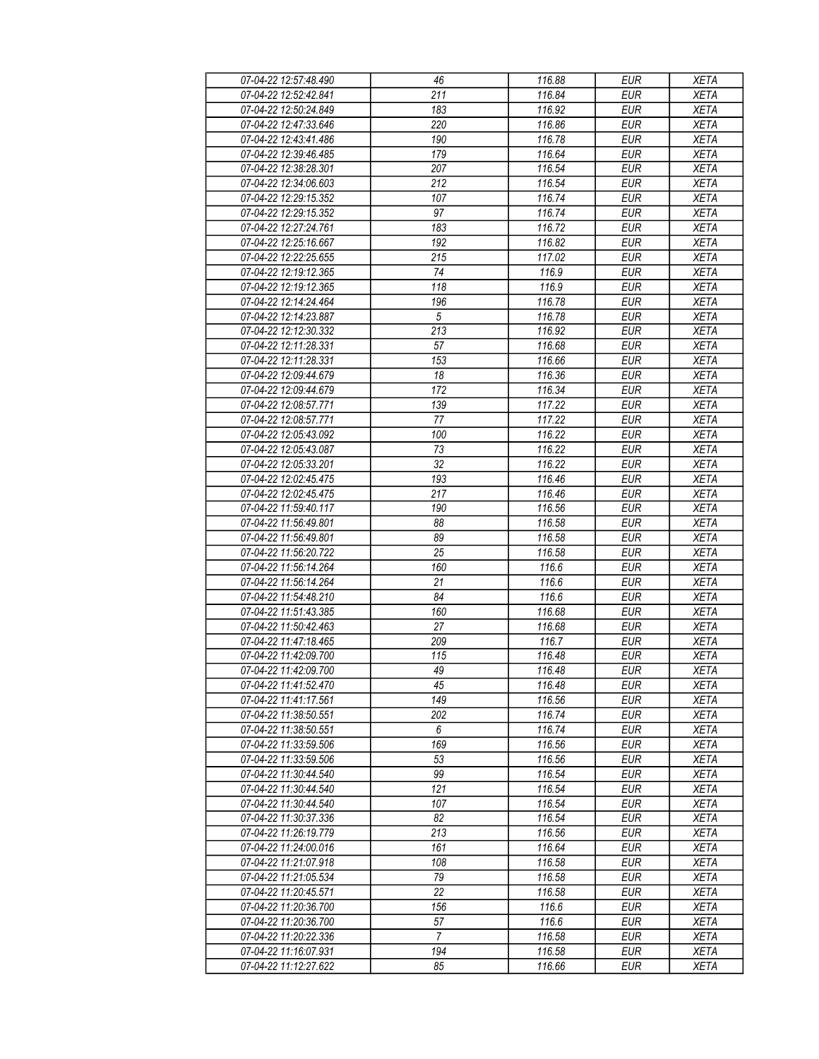| 07-04-22 12:57:48.490 | 46                    | 116.88 | <b>EUR</b>        | <b>XETA</b> |
|-----------------------|-----------------------|--------|-------------------|-------------|
| 07-04-22 12:52:42.841 | 211                   | 116.84 | <b>EUR</b>        | <b>XETA</b> |
| 07-04-22 12:50:24.849 | 183                   | 116.92 | <b>EUR</b>        | <b>XETA</b> |
| 07-04-22 12:47:33.646 | 220                   | 116.86 | <b>EUR</b>        | <b>XETA</b> |
| 07-04-22 12:43:41.486 | 190                   | 116.78 | <b>EUR</b>        | <b>XETA</b> |
| 07-04-22 12:39:46.485 | 179                   | 116.64 | <b>EUR</b>        | <b>XETA</b> |
| 07-04-22 12:38:28.301 | 207                   | 116.54 | <b>EUR</b>        | <b>XETA</b> |
| 07-04-22 12:34:06.603 | 212                   | 116.54 | <b>EUR</b>        | <b>XETA</b> |
| 07-04-22 12:29:15.352 | 107                   | 116.74 | <b>EUR</b>        | <b>XETA</b> |
| 07-04-22 12:29:15.352 | 97                    | 116.74 | <b>EUR</b>        | <b>XETA</b> |
| 07-04-22 12:27:24.761 | 183                   | 116.72 | <b>EUR</b>        | <b>XETA</b> |
| 07-04-22 12:25:16.667 | 192                   | 116.82 | <b>EUR</b>        | <b>XETA</b> |
| 07-04-22 12:22:25.655 | 215                   | 117.02 | <b>EUR</b>        | <b>XETA</b> |
| 07-04-22 12:19:12.365 | 74                    | 116.9  | <b>EUR</b>        | <b>XETA</b> |
| 07-04-22 12:19:12.365 | 118                   | 116.9  | <b>EUR</b>        | <b>XETA</b> |
|                       |                       |        |                   |             |
| 07-04-22 12:14:24.464 | 196<br>$\overline{5}$ | 116.78 | <b>EUR</b><br>EUR | <b>XETA</b> |
| 07-04-22 12:14:23.887 |                       | 116.78 |                   | <b>XETA</b> |
| 07-04-22 12:12:30.332 | 213                   | 116.92 | <b>EUR</b>        | <b>XETA</b> |
| 07-04-22 12:11:28.331 | 57                    | 116.68 | <b>EUR</b>        | <b>XETA</b> |
| 07-04-22 12:11:28.331 | 153                   | 116.66 | <b>EUR</b>        | <b>XETA</b> |
| 07-04-22 12:09:44.679 | 18                    | 116.36 | <b>EUR</b>        | <b>XETA</b> |
| 07-04-22 12:09:44.679 | 172                   | 116.34 | <b>EUR</b>        | <b>XETA</b> |
| 07-04-22 12:08:57.771 | 139                   | 117.22 | <b>EUR</b>        | <b>XETA</b> |
| 07-04-22 12:08:57.771 | 77                    | 117.22 | <b>EUR</b>        | <b>XETA</b> |
| 07-04-22 12:05:43.092 | 100                   | 116.22 | <b>EUR</b>        | <b>XETA</b> |
| 07-04-22 12:05:43.087 | 73                    | 116.22 | <b>EUR</b>        | <b>XETA</b> |
| 07-04-22 12:05:33.201 | 32                    | 116.22 | <b>EUR</b>        | <b>XETA</b> |
| 07-04-22 12:02:45.475 | 193                   | 116.46 | <b>EUR</b>        | <b>XETA</b> |
| 07-04-22 12:02:45.475 | 217                   | 116.46 | <b>EUR</b>        | <b>XETA</b> |
| 07-04-22 11:59:40.117 | 190                   | 116.56 | <b>EUR</b>        | <b>XETA</b> |
| 07-04-22 11:56:49.801 | 88                    | 116.58 | <b>EUR</b>        | <b>XETA</b> |
| 07-04-22 11:56:49.801 | 89                    | 116.58 | <b>EUR</b>        | <b>XETA</b> |
| 07-04-22 11:56:20.722 | 25                    | 116.58 | <b>EUR</b>        | <b>XETA</b> |
| 07-04-22 11:56:14.264 | 160                   | 116.6  | <b>EUR</b>        | <b>XETA</b> |
| 07-04-22 11:56:14.264 | 21                    | 116.6  | <b>EUR</b>        | <b>XETA</b> |
| 07-04-22 11:54:48.210 | 84                    | 116.6  | <b>EUR</b>        | <b>XETA</b> |
| 07-04-22 11:51:43.385 | 160                   | 116.68 | <b>EUR</b>        | <b>XETA</b> |
| 07-04-22 11:50:42.463 | 27                    | 116.68 | <b>EUR</b>        | <b>XETA</b> |
| 07-04-22 11:47:18.465 | 209                   | 116.7  | <b>EUR</b>        | <b>XETA</b> |
| 07-04-22 11:42:09.700 | $\overline{115}$      | 116.48 | <b>EUR</b>        | <b>XETA</b> |
| 07-04-22 11:42:09.700 | 49                    | 116.48 | <b>EUR</b>        | <b>XETA</b> |
| 07-04-22 11:41:52.470 | 45                    | 116.48 | <b>EUR</b>        | <b>XETA</b> |
| 07-04-22 11:41:17.561 | 149                   | 116.56 | <b>EUR</b>        | <b>XETA</b> |
| 07-04-22 11:38:50.551 | 202                   | 116.74 | <b>EUR</b>        | <b>XETA</b> |
| 07-04-22 11:38:50.551 | 6                     | 116.74 | <b>EUR</b>        | <b>XETA</b> |
| 07-04-22 11:33:59.506 | 169                   | 116.56 | <b>EUR</b>        | <b>XETA</b> |
| 07-04-22 11:33:59.506 | 53                    | 116.56 | <b>EUR</b>        | <b>XETA</b> |
| 07-04-22 11:30:44.540 | 99                    | 116.54 | <b>EUR</b>        | <b>XETA</b> |
| 07-04-22 11:30:44.540 | 121                   | 116.54 | <b>EUR</b>        | <b>XETA</b> |
| 07-04-22 11:30:44.540 | 107                   | 116.54 | <b>EUR</b>        | <b>XETA</b> |
| 07-04-22 11:30:37.336 | 82                    | 116.54 | <b>EUR</b>        | <b>XETA</b> |
| 07-04-22 11:26:19.779 | 213                   | 116.56 | <b>EUR</b>        | <b>XETA</b> |
| 07-04-22 11:24:00.016 | 161                   | 116.64 | <b>EUR</b>        | <b>XETA</b> |
| 07-04-22 11:21:07.918 | 108                   | 116.58 | <b>EUR</b>        | <b>XETA</b> |
| 07-04-22 11:21:05.534 | 79                    | 116.58 | <b>EUR</b>        | <b>XETA</b> |
| 07-04-22 11:20:45.571 | 22                    | 116.58 | <b>EUR</b>        | <b>XETA</b> |
| 07-04-22 11:20:36.700 | 156                   | 116.6  | <b>EUR</b>        | <b>XETA</b> |
| 07-04-22 11:20:36.700 | 57                    | 116.6  | <b>EUR</b>        | <b>XETA</b> |
| 07-04-22 11:20:22.336 | $\overline{7}$        | 116.58 | <b>EUR</b>        | <b>XETA</b> |
| 07-04-22 11:16:07.931 | 194                   | 116.58 | <b>EUR</b>        | <b>XETA</b> |
| 07-04-22 11:12:27.622 | 85                    | 116.66 | <b>EUR</b>        | <b>XETA</b> |
|                       |                       |        |                   |             |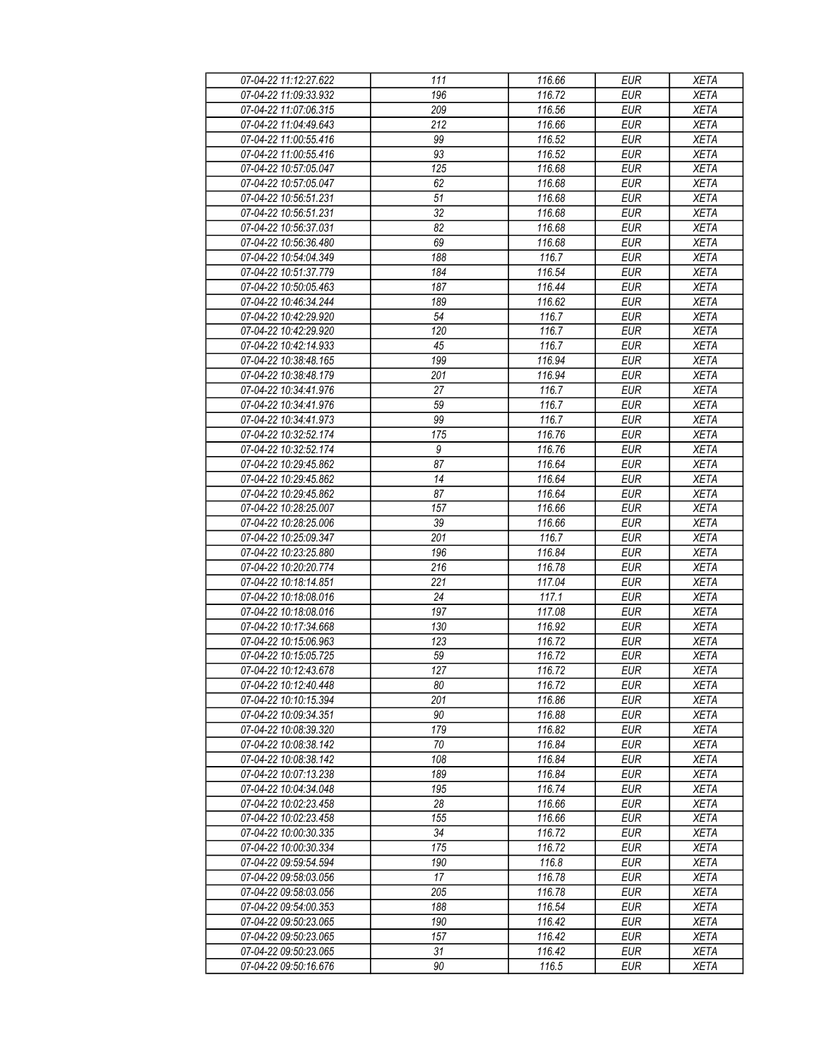| 07-04-22 11:12:27.622 | 111              | 116.66 | <b>EUR</b> | <b>XETA</b> |
|-----------------------|------------------|--------|------------|-------------|
| 07-04-22 11:09:33.932 | 196              | 116.72 | <b>EUR</b> | <b>XETA</b> |
| 07-04-22 11:07:06.315 | 209              | 116.56 | <b>EUR</b> | <b>XETA</b> |
| 07-04-22 11:04:49.643 | 212              | 116.66 | <b>EUR</b> | <b>XETA</b> |
| 07-04-22 11:00:55.416 | 99               | 116.52 | <b>EUR</b> | <b>XETA</b> |
| 07-04-22 11:00:55.416 | 93               | 116.52 | <b>EUR</b> | <b>XETA</b> |
| 07-04-22 10:57:05.047 | 125              | 116.68 | <b>EUR</b> | <b>XETA</b> |
| 07-04-22 10:57:05.047 | 62               | 116.68 | <b>EUR</b> | <b>XETA</b> |
| 07-04-22 10:56:51.231 | 51               | 116.68 | <b>EUR</b> | <b>XETA</b> |
| 07-04-22 10:56:51.231 | $\overline{32}$  | 116.68 | <b>EUR</b> | <b>XETA</b> |
| 07-04-22 10:56:37.031 | 82               | 116.68 | <b>EUR</b> | <b>XETA</b> |
| 07-04-22 10:56:36.480 | 69               | 116.68 | <b>EUR</b> | <b>XETA</b> |
| 07-04-22 10:54:04.349 | 188              | 116.7  | <b>EUR</b> | <b>XETA</b> |
| 07-04-22 10:51:37.779 | 184              | 116.54 | <b>EUR</b> | <b>XETA</b> |
| 07-04-22 10:50:05.463 | 187              | 116.44 | EUR        | <b>XETA</b> |
| 07-04-22 10:46:34.244 | 189              | 116.62 | <b>EUR</b> | <b>XETA</b> |
| 07-04-22 10:42:29.920 | 54               | 116.7  | EUR        | <b>XETA</b> |
| 07-04-22 10:42:29.920 | 120              | 116.7  |            | <b>XETA</b> |
|                       |                  |        | <b>EUR</b> |             |
| 07-04-22 10:42:14.933 | 45               | 116.7  | <b>EUR</b> | <b>XETA</b> |
| 07-04-22 10:38:48.165 | 199              | 116.94 | <b>EUR</b> | <b>XETA</b> |
| 07-04-22 10:38:48.179 | 201              | 116.94 | <b>EUR</b> | <b>XETA</b> |
| 07-04-22 10:34:41.976 | 27               | 116.7  | <b>EUR</b> | <b>XETA</b> |
| 07-04-22 10:34:41.976 | 59               | 116.7  | <b>EUR</b> | <b>XETA</b> |
| 07-04-22 10:34:41.973 | 99               | 116.7  | <b>EUR</b> | <b>XETA</b> |
| 07-04-22 10:32:52.174 | 175              | 116.76 | <b>EUR</b> | <b>XETA</b> |
| 07-04-22 10:32:52.174 | $\boldsymbol{9}$ | 116.76 | EUR        | <b>XETA</b> |
| 07-04-22 10:29:45.862 | 87               | 116.64 | <b>EUR</b> | <b>XETA</b> |
| 07-04-22 10:29:45.862 | $\overline{14}$  | 116.64 | <b>EUR</b> | <b>XETA</b> |
| 07-04-22 10:29:45.862 | 87               | 116.64 | <b>EUR</b> | <b>XETA</b> |
| 07-04-22 10:28:25.007 | 157              | 116.66 | <b>EUR</b> | <b>XETA</b> |
| 07-04-22 10:28:25.006 | 39               | 116.66 | <b>EUR</b> | <b>XETA</b> |
| 07-04-22 10:25:09.347 | 201              | 116.7  | <b>EUR</b> | <b>XETA</b> |
| 07-04-22 10:23:25.880 | 196              | 116.84 | <b>EUR</b> | <b>XETA</b> |
| 07-04-22 10:20:20.774 | 216              | 116.78 | <b>EUR</b> | <b>XETA</b> |
| 07-04-22 10:18:14.851 | 221              | 117.04 | <b>EUR</b> | <b>XETA</b> |
| 07-04-22 10:18:08.016 | 24               | 117.1  | <b>EUR</b> | <b>XETA</b> |
| 07-04-22 10:18:08.016 | 197              | 117.08 | <b>EUR</b> | <b>XETA</b> |
| 07-04-22 10:17:34.668 | 130              | 116.92 | <b>EUR</b> | <b>XETA</b> |
| 07-04-22 10:15:06.963 | 123              | 116.72 | <b>EUR</b> | <b>XETA</b> |
| 07-04-22 10:15:05.725 | $\overline{59}$  | 116.72 | <b>EUR</b> | <b>XETA</b> |
| 07-04-22 10:12:43.678 | 127              | 116.72 | <b>EUR</b> | <b>XETA</b> |
| 07-04-22 10:12:40.448 | 80               | 116.72 | <b>EUR</b> | <b>XETA</b> |
| 07-04-22 10:10:15.394 | 201              | 116.86 | <b>EUR</b> | <b>XETA</b> |
| 07-04-22 10:09:34.351 | 90               | 116.88 | <b>EUR</b> | <b>XETA</b> |
| 07-04-22 10:08:39.320 | 179              | 116.82 | <b>EUR</b> | <b>XETA</b> |
| 07-04-22 10:08:38.142 | 70               | 116.84 | <b>EUR</b> | <b>XETA</b> |
| 07-04-22 10:08:38.142 | 108              | 116.84 | <b>EUR</b> | <b>XETA</b> |
| 07-04-22 10:07:13.238 | 189              | 116.84 | <b>EUR</b> | <b>XETA</b> |
| 07-04-22 10:04:34.048 | 195              | 116.74 | <b>EUR</b> | <b>XETA</b> |
| 07-04-22 10:02:23.458 | 28               | 116.66 | <b>EUR</b> | <b>XETA</b> |
| 07-04-22 10:02:23.458 | 155              | 116.66 | <b>EUR</b> | <b>XETA</b> |
| 07-04-22 10:00:30.335 | 34               | 116.72 | <b>EUR</b> | <b>XETA</b> |
| 07-04-22 10:00:30.334 | 175              | 116.72 | <b>EUR</b> | <b>XETA</b> |
| 07-04-22 09:59:54.594 | 190              | 116.8  | <b>EUR</b> | <b>XETA</b> |
| 07-04-22 09:58:03.056 | 17               | 116.78 | <b>EUR</b> | <b>XETA</b> |
| 07-04-22 09:58:03.056 | 205              | 116.78 | <b>EUR</b> | <b>XETA</b> |
| 07-04-22 09:54:00.353 | 188              | 116.54 | <b>EUR</b> | <b>XETA</b> |
| 07-04-22 09:50:23.065 | 190              | 116.42 | <b>EUR</b> | <b>XETA</b> |
| 07-04-22 09:50:23.065 | 157              | 116.42 | <b>EUR</b> | <b>XETA</b> |
| 07-04-22 09:50:23.065 | 31               | 116.42 | <b>EUR</b> | <b>XETA</b> |
| 07-04-22 09:50:16.676 | 90               | 116.5  | <b>EUR</b> | <b>XETA</b> |
|                       |                  |        |            |             |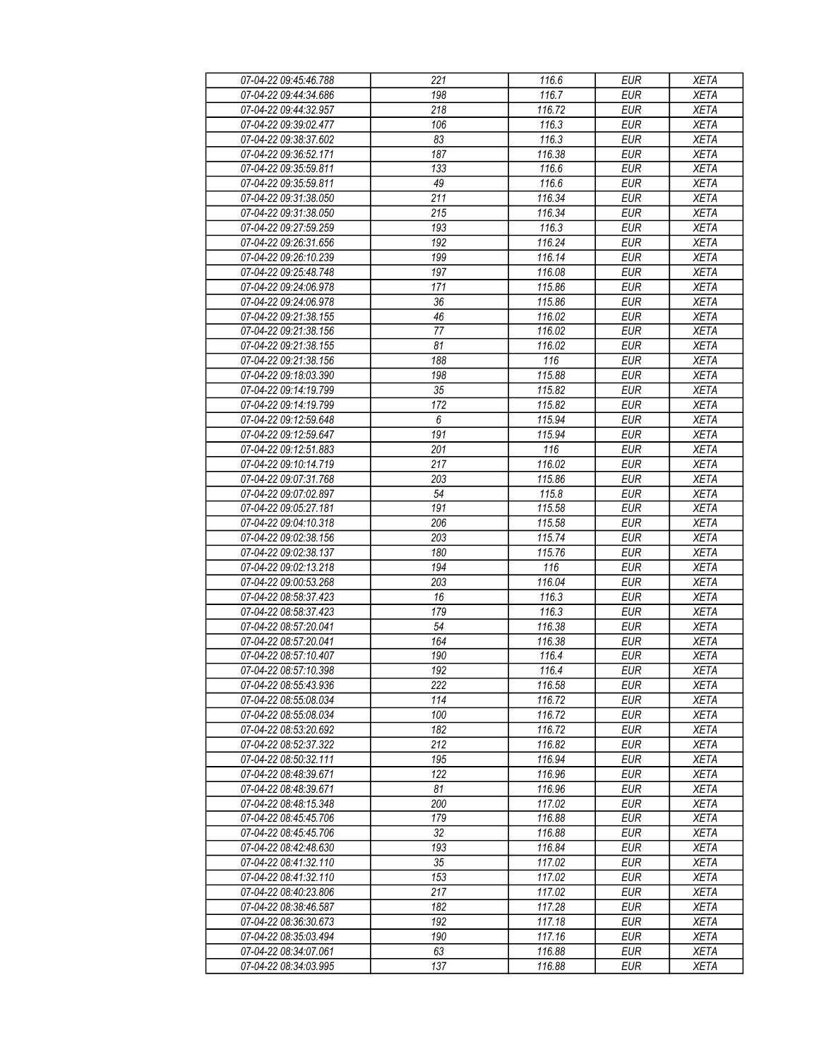| 07-04-22 09:45:46.788                          | 221              | 116.6            | <b>EUR</b>               | <b>XETA</b>                |
|------------------------------------------------|------------------|------------------|--------------------------|----------------------------|
| 07-04-22 09:44:34.686                          | 198              | 116.7            | <b>EUR</b>               | <b>XETA</b>                |
| 07-04-22 09:44:32.957                          | $\overline{218}$ | 116.72           | <b>EUR</b>               | <b>XETA</b>                |
| 07-04-22 09:39:02.477                          | 106              | 116.3            | <b>EUR</b>               | <b>XETA</b>                |
| 07-04-22 09:38:37.602                          | 83               | 116.3            | <b>EUR</b>               | <b>XETA</b>                |
| 07-04-22 09:36:52.171                          | 187              | 116.38           | <b>EUR</b>               | <b>XETA</b>                |
| 07-04-22 09:35:59.811                          | 133              | 116.6            | <b>EUR</b>               | <b>XETA</b>                |
| 07-04-22 09:35:59.811                          | 49               | 116.6            | <b>EUR</b>               | <b>XETA</b>                |
| 07-04-22 09:31:38.050                          | 211              | 116.34           | <b>EUR</b>               | <b>XETA</b>                |
| 07-04-22 09:31:38.050                          | 215              | 116.34           | <b>EUR</b>               | <b>XETA</b>                |
| 07-04-22 09:27:59.259                          | 193              | 116.3            | <b>EUR</b>               | <b>XETA</b>                |
| 07-04-22 09:26:31.656                          | 192              | 116.24           | <b>EUR</b>               | <b>XETA</b>                |
| 07-04-22 09:26:10.239                          | 199              | 116.14           | <b>EUR</b>               | <b>XETA</b>                |
| 07-04-22 09:25:48.748                          | 197              | 116.08           | <b>EUR</b>               | <b>XETA</b>                |
| 07-04-22 09:24:06.978                          | 171              | 115.86           | EUR                      | <b>XETA</b>                |
| 07-04-22 09:24:06.978                          | 36               | 115.86           | <b>EUR</b>               | <b>XETA</b>                |
| 07-04-22 09:21:38.155                          | 46               | 116.02           | <b>EUR</b>               | <b>XETA</b>                |
| 07-04-22 09:21:38.156                          | 77               | 116.02           | <b>EUR</b>               | <b>XETA</b>                |
| 07-04-22 09:21:38.155                          | 81               | 116.02           | <b>EUR</b>               | <b>XETA</b>                |
| 07-04-22 09:21:38.156                          | 188              | 116              | <b>EUR</b>               | <b>XETA</b>                |
| 07-04-22 09:18:03.390                          | 198              | 115.88           | <b>EUR</b>               | <b>XETA</b>                |
| 07-04-22 09:14:19.799                          | 35               | 115.82           | <b>EUR</b>               | <b>XETA</b>                |
| 07-04-22 09:14:19.799                          | 172              | 115.82           | <b>EUR</b>               | <b>XETA</b>                |
| 07-04-22 09:12:59.648                          | 6                | 115.94           | <b>EUR</b>               | <b>XETA</b>                |
| 07-04-22 09:12:59.647                          | 191              | 115.94           | <b>EUR</b>               | <b>XETA</b>                |
|                                                | 201              | 116              | EUR                      | <b>XETA</b>                |
| 07-04-22 09:12:51.883                          | 217              |                  |                          |                            |
| 07-04-22 09:10:14.719<br>07-04-22 09:07:31.768 | 203              | 116.02<br>115.86 | <b>EUR</b><br><b>EUR</b> | <b>XETA</b><br><b>XETA</b> |
| 07-04-22 09:07:02.897                          | 54               |                  | <b>EUR</b>               |                            |
| 07-04-22 09:05:27.181                          |                  | 115.8<br>115.58  |                          | <b>XETA</b>                |
|                                                | 191              |                  | <b>EUR</b>               | <b>XETA</b>                |
| 07-04-22 09:04:10.318                          | 206              | 115.58           | <b>EUR</b>               | <b>XETA</b>                |
| 07-04-22 09:02:38.156                          | 203              | 115.74           | <b>EUR</b>               | <b>XETA</b>                |
| 07-04-22 09:02:38.137                          | 180              | 115.76           | <b>EUR</b>               | <b>XETA</b>                |
| 07-04-22 09:02:13.218                          | 194              | 116              | <b>EUR</b>               | <b>XETA</b>                |
| 07-04-22 09:00:53.268                          | 203              | 116.04           | <b>EUR</b>               | <b>XETA</b>                |
| 07-04-22 08:58:37.423                          | 16               | 116.3            | <b>EUR</b>               | <b>XETA</b>                |
| 07-04-22 08:58:37.423                          | 179              | 116.3            | <b>EUR</b>               | <b>XETA</b>                |
| 07-04-22 08:57:20.041                          | 54               | 116.38           | <b>EUR</b>               | <b>XETA</b>                |
| 07-04-22 08:57:20.041                          | 164              | 116.38           | <b>EUR</b>               | <b>XETA</b>                |
| 07-04-22 08:57:10.407                          | 190              | 116.4            | <b>EUR</b>               | <b>XETA</b>                |
| 07-04-22 08:57:10.398                          | 192              | 116.4            | <b>EUR</b>               | <b>XETA</b>                |
| 07-04-22 08:55:43.936                          | 222              | 116.58           | <b>EUR</b>               | <b>XETA</b>                |
| 07-04-22 08:55:08.034                          | 114              | 116.72           | <b>EUR</b>               | <b>XETA</b>                |
| 07-04-22 08:55:08.034                          | 100              | 116.72           | <b>EUR</b>               | <b>XETA</b>                |
| 07-04-22 08:53:20.692                          | 182              | 116.72           | <b>EUR</b>               | <b>XETA</b>                |
| 07-04-22 08:52:37.322                          | 212              | 116.82           | <b>EUR</b>               | <b>XETA</b>                |
| 07-04-22 08:50:32.111                          | 195              | 116.94           | <b>EUR</b>               | <b>XETA</b>                |
| 07-04-22 08:48:39.671                          | 122              | 116.96           | <b>EUR</b>               | <b>XETA</b>                |
| 07-04-22 08:48:39.671                          | 81               | 116.96           | <b>EUR</b>               | <b>XETA</b>                |
| 07-04-22 08:48:15.348                          | 200              | 117.02           | <b>EUR</b>               | <b>XETA</b>                |
| 07-04-22 08:45:45.706                          | 179              | 116.88           | <b>EUR</b>               | <b>XETA</b>                |
| 07-04-22 08:45:45.706                          | 32               | 116.88           | <b>EUR</b>               | <b>XETA</b>                |
| 07-04-22 08:42:48.630                          | 193              | 116.84           | <b>EUR</b>               | <b>XETA</b>                |
| 07-04-22 08:41:32.110                          | 35               | 117.02           | <b>EUR</b>               | <b>XETA</b>                |
| 07-04-22 08:41:32.110                          | 153              | 117.02           | <b>EUR</b>               | <b>XETA</b>                |
| 07-04-22 08:40:23.806                          | 217              | 117.02           | <b>EUR</b>               | <b>XETA</b>                |
| 07-04-22 08:38:46.587                          | 182              | 117.28           | <b>EUR</b>               | <b>XETA</b>                |
| 07-04-22 08:36:30.673                          | 192              | 117.18           | <b>EUR</b>               | <b>XETA</b>                |
| 07-04-22 08:35:03.494                          | 190              | 117.16           | <b>EUR</b>               | <b>XETA</b>                |
| 07-04-22 08:34:07.061                          | 63               | 116.88           | <b>EUR</b>               | <b>XETA</b>                |
| 07-04-22 08:34:03.995                          | 137              | 116.88           | <b>EUR</b>               | <b>XETA</b>                |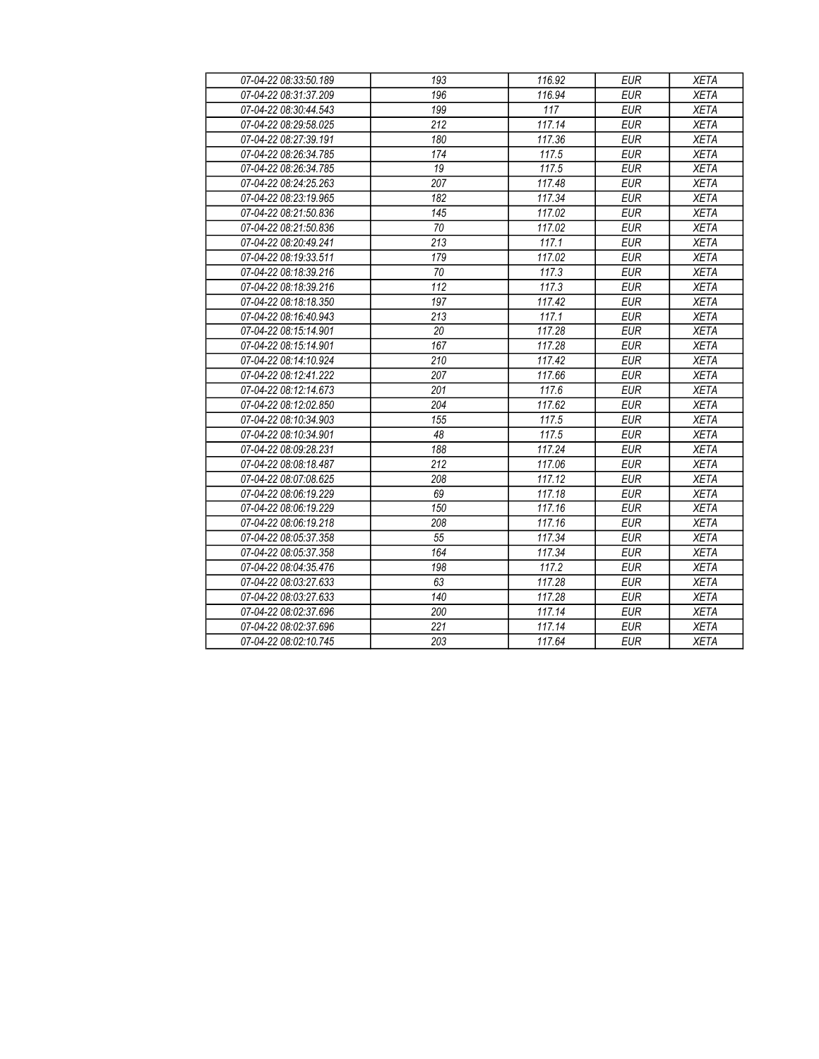| 07-04-22 08:33:50.189 | 193 | 116.92 | <b>EUR</b> | <b>XETA</b> |
|-----------------------|-----|--------|------------|-------------|
| 07-04-22 08:31:37.209 | 196 | 116.94 | <b>EUR</b> | <b>XETA</b> |
| 07-04-22 08:30:44.543 | 199 | 117    | <b>EUR</b> | <b>XETA</b> |
| 07-04-22 08:29:58.025 | 212 | 117.14 | <b>EUR</b> | <b>XETA</b> |
| 07-04-22 08:27:39.191 | 180 | 117.36 | <b>EUR</b> | <b>XETA</b> |
| 07-04-22 08:26:34.785 | 174 | 117.5  | <b>EUR</b> | <b>XETA</b> |
| 07-04-22 08:26:34.785 | 19  | 117.5  | <b>EUR</b> | <b>XETA</b> |
| 07-04-22 08:24:25.263 | 207 | 117.48 | <b>EUR</b> | <b>XETA</b> |
| 07-04-22 08:23:19.965 | 182 | 117.34 | <b>EUR</b> | <b>XETA</b> |
| 07-04-22 08:21:50.836 | 145 | 117.02 | <b>EUR</b> | <b>XETA</b> |
| 07-04-22 08:21:50.836 | 70  | 117.02 | <b>EUR</b> | <b>XETA</b> |
| 07-04-22 08:20:49.241 | 213 | 117.1  | <b>EUR</b> | <b>XETA</b> |
| 07-04-22 08:19:33.511 | 179 | 117.02 | <b>EUR</b> | <b>XETA</b> |
| 07-04-22 08:18:39.216 | 70  | 117.3  | <b>EUR</b> | <b>XETA</b> |
| 07-04-22 08:18:39.216 | 112 | 117.3  | <b>EUR</b> | <b>XETA</b> |
| 07-04-22 08:18:18.350 | 197 | 117.42 | <b>EUR</b> | <b>XETA</b> |
| 07-04-22 08:16:40.943 | 213 | 117.1  | <b>EUR</b> | <b>XETA</b> |
| 07-04-22 08:15:14.901 | 20  | 117.28 | <b>EUR</b> | <b>XETA</b> |
| 07-04-22 08:15:14.901 | 167 | 117.28 | <b>EUR</b> | <b>XETA</b> |
| 07-04-22 08:14:10.924 | 210 | 117.42 | <b>EUR</b> | <b>XETA</b> |
| 07-04-22 08:12:41.222 | 207 | 117.66 | <b>EUR</b> | <b>XETA</b> |
| 07-04-22 08:12:14.673 | 201 | 117.6  | <b>EUR</b> | <b>XETA</b> |
| 07-04-22 08:12:02.850 | 204 | 117.62 | <b>EUR</b> | <b>XETA</b> |
| 07-04-22 08:10:34.903 | 155 | 117.5  | <b>EUR</b> | <b>XETA</b> |
| 07-04-22 08:10:34.901 | 48  | 117.5  | <b>EUR</b> | <b>XETA</b> |
| 07-04-22 08:09:28.231 | 188 | 117.24 | <b>EUR</b> | <b>XETA</b> |
| 07-04-22 08:08:18.487 | 212 | 117.06 | <b>EUR</b> | <b>XETA</b> |
| 07-04-22 08:07:08.625 | 208 | 117.12 | <b>EUR</b> | <b>XETA</b> |
| 07-04-22 08:06:19.229 | 69  | 117.18 | <b>EUR</b> | <b>XETA</b> |
| 07-04-22 08:06:19.229 | 150 | 117.16 | <b>EUR</b> | <b>XETA</b> |
| 07-04-22 08:06:19.218 | 208 | 117.16 | <b>EUR</b> | <b>XETA</b> |
| 07-04-22 08:05:37.358 | 55  | 117.34 | <b>EUR</b> | <b>XETA</b> |
| 07-04-22 08:05:37.358 | 164 | 117.34 | <b>EUR</b> | <b>XETA</b> |
| 07-04-22 08:04:35.476 | 198 | 117.2  | <b>EUR</b> | <b>XETA</b> |
| 07-04-22 08:03:27.633 | 63  | 117.28 | <b>EUR</b> | <b>XETA</b> |
| 07-04-22 08:03:27.633 | 140 | 117.28 | <b>EUR</b> | <b>XETA</b> |
| 07-04-22 08:02:37.696 | 200 | 117.14 | <b>EUR</b> | <b>XETA</b> |
| 07-04-22 08:02:37.696 | 221 | 117.14 | <b>EUR</b> | <b>XETA</b> |
| 07-04-22 08:02:10.745 | 203 | 117.64 | <b>EUR</b> | <b>XETA</b> |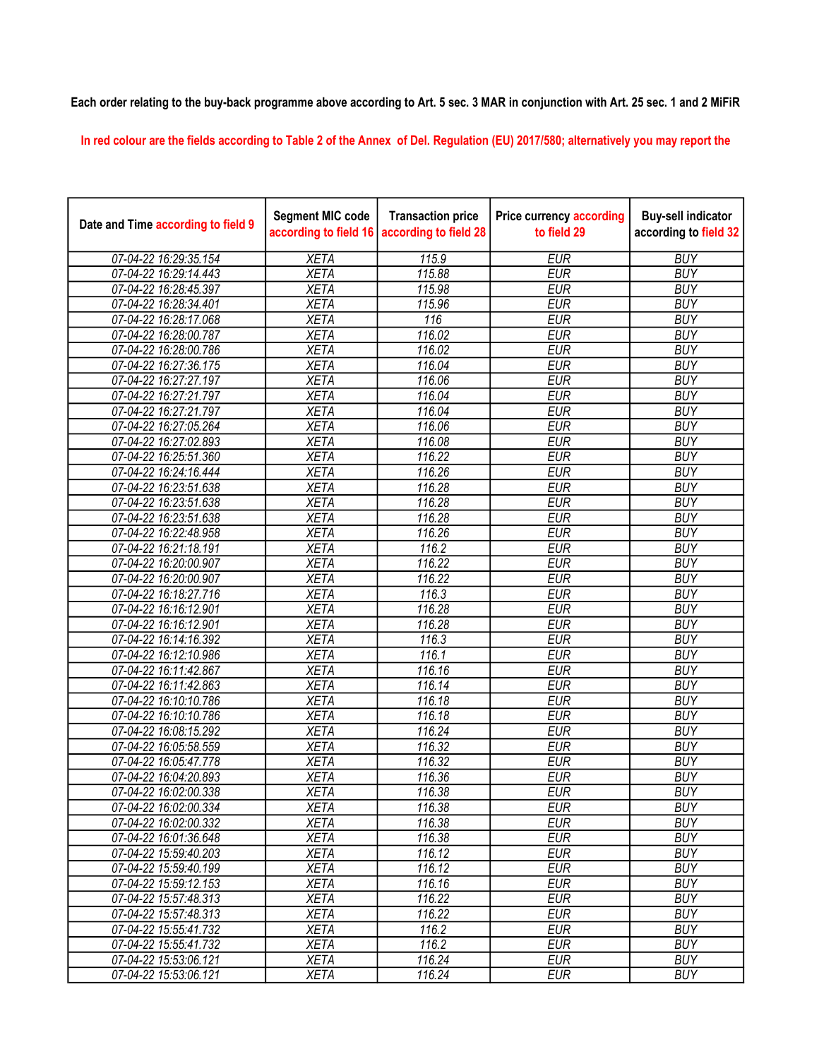## Each order relating to the buy-back programme above according to Art. 5 sec. 3 MAR in conjunction with Art. 25 sec. 1 and 2 MiFiR

In red colour are the fields according to Table 2 of the Annex of Del. Regulation (EU) 2017/580; alternatively you may report the

| Date and Time according to field 9 | <b>Segment MIC code</b><br>according to field 16 | <b>Transaction price</b><br>according to field 28 | <b>Price currency according</b><br>to field 29 | <b>Buy-sell indicator</b><br>according to field 32 |
|------------------------------------|--------------------------------------------------|---------------------------------------------------|------------------------------------------------|----------------------------------------------------|
| 07-04-22 16:29:35.154              | <b>XETA</b>                                      | 115.9                                             | <b>EUR</b>                                     | <b>BUY</b>                                         |
| 07-04-22 16:29:14.443              | <b>XETA</b>                                      | 115.88                                            | <b>EUR</b>                                     | <b>BUY</b>                                         |
| 07-04-22 16:28:45.397              | <b>XETA</b>                                      | 115.98                                            | <b>EUR</b>                                     | <b>BUY</b>                                         |
| 07-04-22 16:28:34.401              | <b>XETA</b>                                      | 115.96                                            | <b>EUR</b>                                     | <b>BUY</b>                                         |
| 07-04-22 16:28:17.068              | <b>XETA</b>                                      | 116                                               | <b>EUR</b>                                     | <b>BUY</b>                                         |
| 07-04-22 16:28:00.787              | <b>XETA</b>                                      | 116.02                                            | <b>EUR</b>                                     | <b>BUY</b>                                         |
| 07-04-22 16:28:00.786              | <b>XETA</b>                                      | 116.02                                            | <b>EUR</b>                                     | <b>BUY</b>                                         |
| 07-04-22 16:27:36.175              | <b>XETA</b>                                      | 116.04                                            | <b>EUR</b>                                     | <b>BUY</b>                                         |
| 07-04-22 16:27:27.197              | <b>XETA</b>                                      | 116.06                                            | <b>EUR</b>                                     | <b>BUY</b>                                         |
| 07-04-22 16:27:21.797              | <b>XETA</b>                                      | 116.04                                            | <b>EUR</b>                                     | <b>BUY</b>                                         |
| 07-04-22 16:27:21.797              | <b>XETA</b>                                      | 116.04                                            | <b>EUR</b>                                     | <b>BUY</b>                                         |
| 07-04-22 16:27:05.264              | <b>XETA</b>                                      | 116.06                                            | <b>EUR</b>                                     | <b>BUY</b>                                         |
| 07-04-22 16:27:02.893              | <b>XETA</b>                                      | 116.08                                            | <b>EUR</b>                                     | <b>BUY</b>                                         |
| 07-04-22 16:25:51.360              | <b>XETA</b>                                      | 116.22                                            | <b>EUR</b>                                     | <b>BUY</b>                                         |
| 07-04-22 16:24:16.444              | <b>XETA</b>                                      | 116.26                                            | <b>EUR</b>                                     | <b>BUY</b>                                         |
| 07-04-22 16:23:51.638              | <b>XETA</b>                                      | 116.28                                            | <b>EUR</b>                                     | <b>BUY</b>                                         |
| 07-04-22 16:23:51.638              | <b>XETA</b>                                      | 116.28                                            | <b>EUR</b>                                     | <b>BUY</b>                                         |
| 07-04-22 16:23:51.638              | <b>XETA</b>                                      | 116.28                                            | <b>EUR</b>                                     | <b>BUY</b>                                         |
| 07-04-22 16:22:48.958              | <b>XETA</b>                                      | 116.26                                            | <b>EUR</b>                                     | <b>BUY</b>                                         |
| 07-04-22 16:21:18.191              | <b>XETA</b>                                      | 116.2                                             | <b>EUR</b>                                     | <b>BUY</b>                                         |
| 07-04-22 16:20:00.907              | <b>XETA</b>                                      | 116.22                                            | <b>EUR</b>                                     | <b>BUY</b>                                         |
| 07-04-22 16:20:00.907              | <b>XETA</b>                                      | 116.22                                            | <b>EUR</b>                                     | <b>BUY</b>                                         |
| 07-04-22 16:18:27.716              | <b>XETA</b>                                      | 116.3                                             | <b>EUR</b>                                     | <b>BUY</b>                                         |
| 07-04-22 16:16:12.901              | <b>XETA</b>                                      | 116.28                                            | <b>EUR</b>                                     | <b>BUY</b>                                         |
| 07-04-22 16:16:12.901              | <b>XETA</b>                                      | 116.28                                            | <b>EUR</b>                                     | <b>BUY</b>                                         |
| 07-04-22 16:14:16.392              | <b>XETA</b>                                      | 116.3                                             | <b>EUR</b>                                     | <b>BUY</b>                                         |
| 07-04-22 16:12:10.986              | <b>XETA</b>                                      | 116.1                                             | <b>EUR</b>                                     | <b>BUY</b>                                         |
| 07-04-22 16:11:42.867              | <b>XETA</b>                                      | 116.16                                            | <b>EUR</b>                                     | <b>BUY</b>                                         |
| 07-04-22 16:11:42.863              | <b>XETA</b>                                      | 116.14                                            | <b>EUR</b>                                     | <b>BUY</b>                                         |
| 07-04-22 16:10:10.786              | <b>XETA</b>                                      | 116.18                                            | <b>EUR</b>                                     | <b>BUY</b>                                         |
| 07-04-22 16:10:10.786              | <b>XETA</b>                                      | 116.18                                            | <b>EUR</b>                                     | <b>BUY</b>                                         |
| 07-04-22 16:08:15.292              | <b>XETA</b>                                      | 116.24                                            | <b>EUR</b>                                     | <b>BUY</b>                                         |
| 07-04-22 16:05:58.559              | <b>XETA</b>                                      | 116.32                                            | <b>EUR</b>                                     | <b>BUY</b>                                         |
| 07-04-22 16:05:47.778              | <b>XETA</b>                                      | 116.32                                            | <b>EUR</b>                                     | <b>BUY</b>                                         |
| 07-04-22 16:04:20.893              | <b>XETA</b>                                      | 116.36                                            | <b>EUR</b>                                     | <b>BUY</b>                                         |
| 07-04-22 16:02:00.338              | <b>XETA</b>                                      | 116.38                                            | <b>EUR</b>                                     | <b>BUY</b>                                         |
| 07-04-22 16:02:00.334              | <b>XETA</b>                                      | 116.38                                            | <b>EUR</b>                                     | <b>BUY</b>                                         |
| 07-04-22 16:02:00.332              | <b>XETA</b>                                      | 116.38                                            | <b>EUR</b>                                     | <b>BUY</b>                                         |
| 07-04-22 16:01:36.648              | <b>XETA</b>                                      | 116.38                                            | <b>EUR</b>                                     | <b>BUY</b>                                         |
| 07-04-22 15:59:40.203              | <b>XETA</b>                                      | 116.12                                            | <b>EUR</b>                                     | <b>BUY</b>                                         |
| 07-04-22 15:59:40.199              | <b>XETA</b>                                      | 116.12                                            | <b>EUR</b>                                     | <b>BUY</b>                                         |
| 07-04-22 15:59:12.153              | <b>XETA</b>                                      | 116.16                                            | <b>EUR</b>                                     | <b>BUY</b>                                         |
| 07-04-22 15:57:48.313              | <b>XETA</b>                                      | 116.22                                            | <b>EUR</b>                                     | <b>BUY</b>                                         |
| 07-04-22 15:57:48.313              | <b>XETA</b>                                      | 116.22                                            | <b>EUR</b>                                     | <b>BUY</b>                                         |
| 07-04-22 15:55:41.732              | <b>XETA</b>                                      | 116.2                                             | <b>EUR</b>                                     | <b>BUY</b>                                         |
| 07-04-22 15:55:41.732              | <b>XETA</b>                                      | 116.2                                             | <b>EUR</b>                                     | <b>BUY</b>                                         |
| 07-04-22 15:53:06.121              | <b>XETA</b>                                      | 116.24                                            | <b>EUR</b>                                     | <b>BUY</b>                                         |
| 07-04-22 15:53:06.121              | <b>XETA</b>                                      | 116.24                                            | <b>EUR</b>                                     | <b>BUY</b>                                         |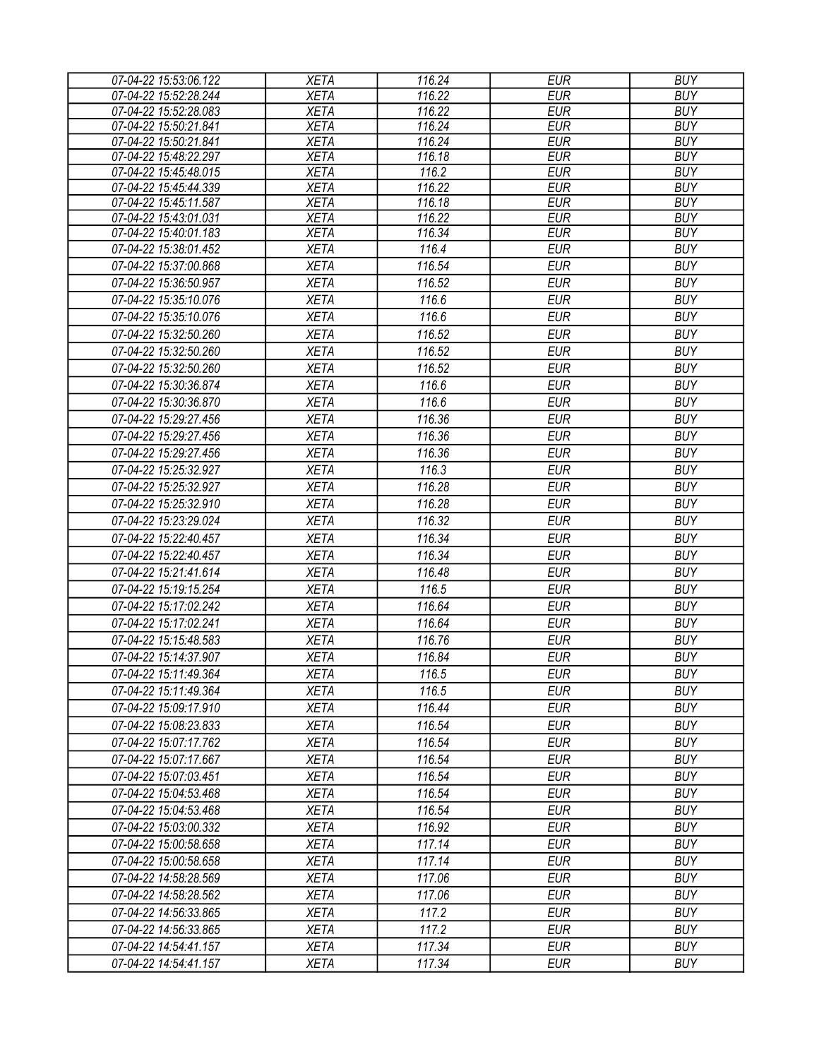| 07-04-22 15:53:06.122 | <b>XETA</b> | 116.24              | <b>EUR</b> | <b>BUY</b> |
|-----------------------|-------------|---------------------|------------|------------|
| 07-04-22 15:52:28.244 | <b>XETA</b> | $\overline{116.22}$ | <b>EUR</b> | <b>BUY</b> |
| 07-04-22 15:52:28.083 | <b>XETA</b> | 116.22              | <b>EUR</b> | <b>BUY</b> |
| 07-04-22 15:50:21.841 | <b>XETA</b> | 116.24              | <b>EUR</b> | <b>BUY</b> |
| 07-04-22 15:50:21.841 | <b>XETA</b> | 116.24              | <b>EUR</b> | <b>BUY</b> |
| 07-04-22 15:48:22.297 | <b>XETA</b> | 116.18              | <b>EUR</b> | <b>BUY</b> |
| 07-04-22 15:45:48.015 | <b>XETA</b> | 116.2               | <b>EUR</b> | <b>BUY</b> |
| 07-04-22 15:45:44.339 | <b>XETA</b> | 116.22              | <b>EUR</b> | <b>BUY</b> |
| 07-04-22 15:45:11.587 | <b>XETA</b> | 116.18              | <b>EUR</b> | <b>BUY</b> |
| 07-04-22 15:43:01.031 | <b>XETA</b> | 116.22              | <b>EUR</b> | <b>BUY</b> |
| 07-04-22 15:40:01.183 | <b>XETA</b> | 116.34              | <b>EUR</b> | <b>BUY</b> |
| 07-04-22 15:38:01.452 | <b>XETA</b> | 116.4               | <b>EUR</b> | <b>BUY</b> |
| 07-04-22 15:37:00.868 | <b>XETA</b> | 116.54              | <b>EUR</b> | <b>BUY</b> |
| 07-04-22 15:36:50.957 | <b>XETA</b> | 116.52              | <b>EUR</b> | <b>BUY</b> |
| 07-04-22 15:35:10.076 | <b>XETA</b> | 116.6               | <b>EUR</b> | <b>BUY</b> |
| 07-04-22 15:35:10.076 | <b>XETA</b> | 116.6               | <b>EUR</b> | <b>BUY</b> |
| 07-04-22 15:32:50.260 | <b>XETA</b> | 116.52              | <b>EUR</b> | <b>BUY</b> |
| 07-04-22 15:32:50.260 | <b>XETA</b> | 116.52              | <b>EUR</b> | <b>BUY</b> |
| 07-04-22 15:32:50.260 | <b>XETA</b> | 116.52              | <b>EUR</b> | <b>BUY</b> |
| 07-04-22 15:30:36.874 | <b>XETA</b> | 116.6               | <b>EUR</b> | <b>BUY</b> |
| 07-04-22 15:30:36.870 | <b>XETA</b> | 116.6               | <b>EUR</b> | <b>BUY</b> |
| 07-04-22 15:29:27.456 | <b>XETA</b> | 116.36              | <b>EUR</b> | <b>BUY</b> |
| 07-04-22 15:29:27.456 | <b>XETA</b> | 116.36              | <b>EUR</b> | <b>BUY</b> |
| 07-04-22 15:29:27.456 | <b>XETA</b> | 116.36              | <b>EUR</b> | <b>BUY</b> |
| 07-04-22 15:25:32.927 |             | 116.3               | <b>EUR</b> | <b>BUY</b> |
|                       | <b>XETA</b> |                     |            |            |
| 07-04-22 15:25:32.927 | <b>XETA</b> | 116.28              | <b>EUR</b> | <b>BUY</b> |
| 07-04-22 15:25:32.910 | <b>XETA</b> | 116.28              | <b>EUR</b> | <b>BUY</b> |
| 07-04-22 15:23:29.024 | <b>XETA</b> | 116.32              | <b>EUR</b> | <b>BUY</b> |
| 07-04-22 15:22:40.457 | <b>XETA</b> | 116.34              | <b>EUR</b> | <b>BUY</b> |
| 07-04-22 15:22:40.457 | <b>XETA</b> | 116.34              | <b>EUR</b> | <b>BUY</b> |
| 07-04-22 15:21:41.614 | <b>XETA</b> | 116.48              | <b>EUR</b> | <b>BUY</b> |
| 07-04-22 15:19:15.254 | <b>XETA</b> | 116.5               | <b>EUR</b> | <b>BUY</b> |
| 07-04-22 15:17:02.242 | <b>XETA</b> | 116.64              | <b>EUR</b> | <b>BUY</b> |
| 07-04-22 15:17:02.241 | <b>XETA</b> | 116.64              | <b>EUR</b> | <b>BUY</b> |
| 07-04-22 15:15:48.583 | <b>XETA</b> | 116.76              | <b>EUR</b> | <b>BUY</b> |
| 07-04-22 15:14:37.907 | <b>XETA</b> | 116.84              | <b>EUR</b> | <b>BUY</b> |
| 07-04-22 15:11:49.364 | <b>XETA</b> | 116.5               | EUR        | <b>BUY</b> |
| 07-04-22 15:11:49.364 | <b>XETA</b> | 116.5               | EUR        | <b>BUY</b> |
| 07-04-22 15:09:17.910 | <b>XETA</b> | 116.44              | <b>EUR</b> | <b>BUY</b> |
| 07-04-22 15:08:23.833 | <b>XETA</b> | 116.54              | <b>EUR</b> | <b>BUY</b> |
| 07-04-22 15:07:17.762 | <b>XETA</b> | 116.54              | <b>EUR</b> | <b>BUY</b> |
|                       |             |                     | <b>EUR</b> | <b>BUY</b> |
| 07-04-22 15:07:17.667 | <b>XETA</b> | 116.54              |            | <b>BUY</b> |
| 07-04-22 15:07:03.451 | <b>XETA</b> | 116.54              | <b>EUR</b> |            |
| 07-04-22 15:04:53.468 | <b>XETA</b> | 116.54              | <b>EUR</b> | <b>BUY</b> |
| 07-04-22 15:04:53.468 | <b>XETA</b> | 116.54              | <b>EUR</b> | <b>BUY</b> |
| 07-04-22 15:03:00.332 | <b>XETA</b> | 116.92              | <b>EUR</b> | <b>BUY</b> |
| 07-04-22 15:00:58.658 | <b>XETA</b> | 117.14              | EUR        | <b>BUY</b> |
| 07-04-22 15:00:58.658 | <b>XETA</b> | 117.14              | <b>EUR</b> | <b>BUY</b> |
| 07-04-22 14:58:28.569 | <b>XETA</b> | 117.06              | <b>EUR</b> | <b>BUY</b> |
| 07-04-22 14:58:28.562 | <b>XETA</b> | 117.06              | <b>EUR</b> | <b>BUY</b> |
| 07-04-22 14:56:33.865 | <b>XETA</b> | 117.2               | <b>EUR</b> | <b>BUY</b> |
| 07-04-22 14:56:33.865 | <b>XETA</b> | 117.2               | <b>EUR</b> | <b>BUY</b> |
| 07-04-22 14:54:41.157 | <b>XETA</b> | 117.34              | <b>EUR</b> | <b>BUY</b> |
| 07-04-22 14:54:41.157 | <b>XETA</b> | 117.34              | <b>EUR</b> | <b>BUY</b> |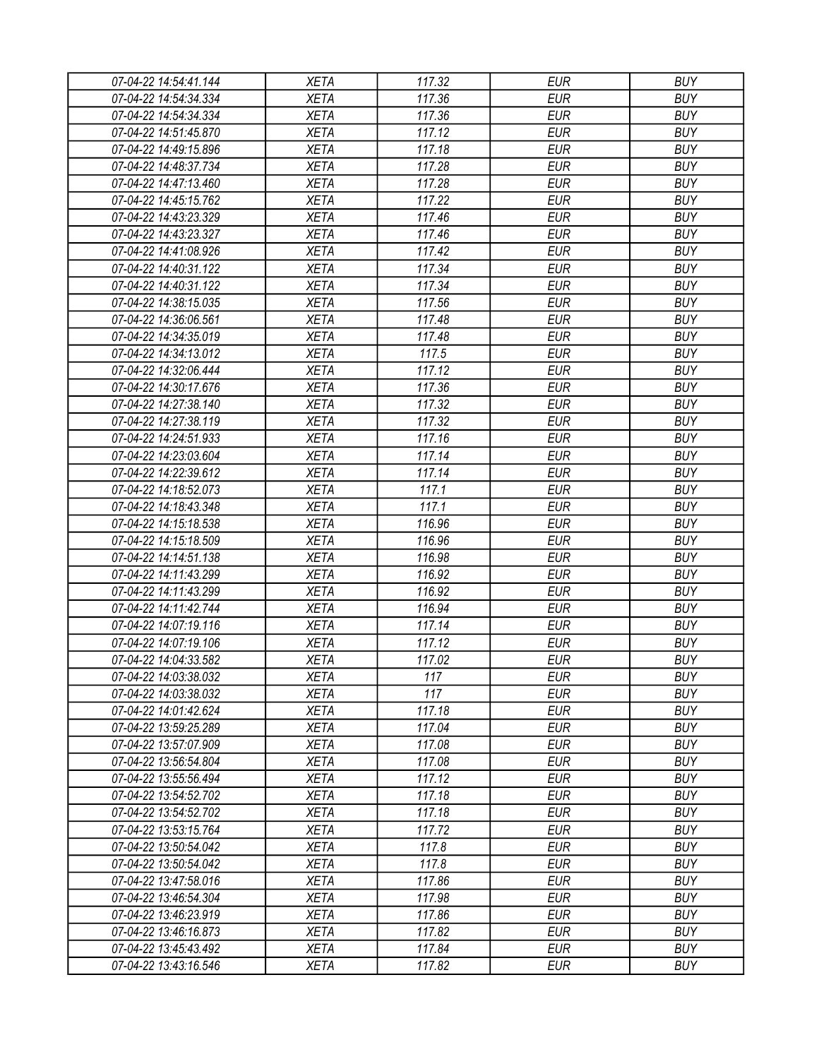| 07-04-22 14:54:41.144 | <b>XETA</b> | 117.32 | <b>EUR</b> | <b>BUY</b> |
|-----------------------|-------------|--------|------------|------------|
| 07-04-22 14:54:34.334 | <b>XETA</b> | 117.36 | <b>EUR</b> | <b>BUY</b> |
| 07-04-22 14:54:34.334 | <b>XETA</b> | 117.36 | <b>EUR</b> | <b>BUY</b> |
| 07-04-22 14:51:45.870 | <b>XETA</b> | 117.12 | <b>EUR</b> | <b>BUY</b> |
| 07-04-22 14:49:15.896 | <b>XETA</b> | 117.18 | <b>EUR</b> | <b>BUY</b> |
| 07-04-22 14:48:37.734 | <b>XETA</b> | 117.28 | <b>EUR</b> | <b>BUY</b> |
| 07-04-22 14:47:13.460 | <b>XETA</b> | 117.28 | <b>EUR</b> | <b>BUY</b> |
| 07-04-22 14:45:15.762 | <b>XETA</b> | 117.22 | <b>EUR</b> | <b>BUY</b> |
| 07-04-22 14:43:23.329 | <b>XETA</b> | 117.46 | <b>EUR</b> | <b>BUY</b> |
| 07-04-22 14:43:23.327 | <b>XETA</b> | 117.46 | <b>EUR</b> | <b>BUY</b> |
| 07-04-22 14:41:08.926 | <b>XETA</b> | 117.42 | <b>EUR</b> | <b>BUY</b> |
| 07-04-22 14:40:31.122 | <b>XETA</b> | 117.34 | <b>EUR</b> | <b>BUY</b> |
| 07-04-22 14:40:31.122 | <b>XETA</b> | 117.34 | <b>EUR</b> | <b>BUY</b> |
| 07-04-22 14:38:15.035 | <b>XETA</b> | 117.56 | <b>EUR</b> | <b>BUY</b> |
| 07-04-22 14:36:06.561 | <b>XETA</b> | 117.48 | <b>EUR</b> | <b>BUY</b> |
| 07-04-22 14:34:35.019 | <b>XETA</b> | 117.48 | <b>EUR</b> | <b>BUY</b> |
| 07-04-22 14:34:13.012 | <b>XETA</b> | 117.5  | <b>EUR</b> | <b>BUY</b> |
| 07-04-22 14:32:06.444 | <b>XETA</b> | 117.12 | <b>EUR</b> | <b>BUY</b> |
| 07-04-22 14:30:17.676 | <b>XETA</b> | 117.36 | <b>EUR</b> | <b>BUY</b> |
| 07-04-22 14:27:38.140 | <b>XETA</b> | 117.32 | <b>EUR</b> | <b>BUY</b> |
| 07-04-22 14:27:38.119 | <b>XETA</b> | 117.32 | <b>EUR</b> | <b>BUY</b> |
| 07-04-22 14:24:51.933 | <b>XETA</b> | 117.16 | <b>EUR</b> | <b>BUY</b> |
| 07-04-22 14:23:03.604 | <b>XETA</b> | 117.14 | <b>EUR</b> | <b>BUY</b> |
| 07-04-22 14:22:39.612 | <b>XETA</b> | 117.14 | <b>EUR</b> | <b>BUY</b> |
| 07-04-22 14:18:52.073 | <b>XETA</b> | 117.1  | <b>EUR</b> | <b>BUY</b> |
| 07-04-22 14:18:43.348 | <b>XETA</b> | 117.1  | <b>EUR</b> | <b>BUY</b> |
| 07-04-22 14:15:18.538 | <b>XETA</b> | 116.96 | <b>EUR</b> | <b>BUY</b> |
| 07-04-22 14:15:18.509 | <b>XETA</b> | 116.96 | <b>EUR</b> | <b>BUY</b> |
| 07-04-22 14:14:51.138 | <b>XETA</b> | 116.98 | <b>EUR</b> | <b>BUY</b> |
| 07-04-22 14:11:43.299 | <b>XETA</b> | 116.92 | <b>EUR</b> | <b>BUY</b> |
| 07-04-22 14:11:43.299 | <b>XETA</b> | 116.92 | <b>EUR</b> | <b>BUY</b> |
| 07-04-22 14:11:42.744 | <b>XETA</b> | 116.94 | <b>EUR</b> | <b>BUY</b> |
| 07-04-22 14:07:19.116 | <b>XETA</b> | 117.14 | <b>EUR</b> | <b>BUY</b> |
| 07-04-22 14:07:19.106 | <b>XETA</b> | 117.12 | <b>EUR</b> | <b>BUY</b> |
| 07-04-22 14:04:33.582 | <b>XETA</b> | 117.02 | <b>EUR</b> | <b>BUY</b> |
| 07-04-22 14:03:38.032 | <b>XETA</b> | 117    | <b>EUR</b> | <b>BUY</b> |
| 07-04-22 14:03:38.032 | <b>XETA</b> | 117    | <b>EUR</b> | <b>BUY</b> |
| 07-04-22 14:01:42.624 | <b>XETA</b> | 117.18 | <b>EUR</b> | <b>BUY</b> |
| 07-04-22 13:59:25.289 | <b>XETA</b> | 117.04 | <b>EUR</b> | <b>BUY</b> |
| 07-04-22 13:57:07.909 | <b>XETA</b> | 117.08 | <b>EUR</b> | <b>BUY</b> |
| 07-04-22 13:56:54.804 | <b>XETA</b> | 117.08 | <b>EUR</b> | <b>BUY</b> |
| 07-04-22 13:55:56.494 | <b>XETA</b> | 117.12 | <b>EUR</b> | <b>BUY</b> |
| 07-04-22 13:54:52.702 | <b>XETA</b> | 117.18 | <b>EUR</b> | <b>BUY</b> |
| 07-04-22 13:54:52.702 | <b>XETA</b> | 117.18 | <b>EUR</b> | <b>BUY</b> |
| 07-04-22 13:53:15.764 | <b>XETA</b> | 117.72 | <b>EUR</b> | <b>BUY</b> |
| 07-04-22 13:50:54.042 | <b>XETA</b> | 117.8  | <b>EUR</b> | <b>BUY</b> |
| 07-04-22 13:50:54.042 | <b>XETA</b> | 117.8  | <b>EUR</b> | <b>BUY</b> |
| 07-04-22 13:47:58.016 | <b>XETA</b> | 117.86 | <b>EUR</b> | <b>BUY</b> |
| 07-04-22 13:46:54.304 | <b>XETA</b> | 117.98 | <b>EUR</b> | <b>BUY</b> |
| 07-04-22 13:46:23.919 | <b>XETA</b> | 117.86 | <b>EUR</b> | <b>BUY</b> |
| 07-04-22 13:46:16.873 | <b>XETA</b> | 117.82 | <b>EUR</b> | <b>BUY</b> |
| 07-04-22 13:45:43.492 | <b>XETA</b> | 117.84 | <b>EUR</b> | <b>BUY</b> |
| 07-04-22 13:43:16.546 | <b>XETA</b> | 117.82 | <b>EUR</b> | <b>BUY</b> |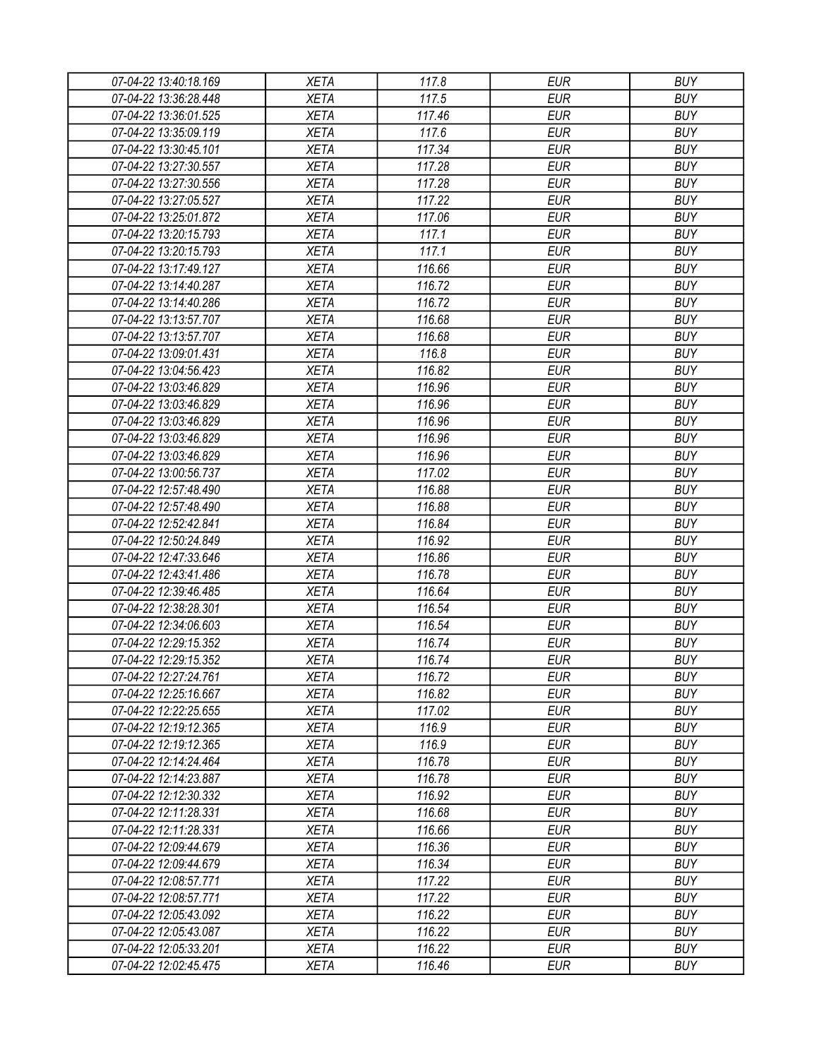| 07-04-22 13:40:18.169 | <b>XETA</b> | 117.8  | <b>EUR</b> | <b>BUY</b> |
|-----------------------|-------------|--------|------------|------------|
| 07-04-22 13:36:28.448 | <b>XETA</b> | 117.5  | <b>EUR</b> | <b>BUY</b> |
| 07-04-22 13:36:01.525 | <b>XETA</b> | 117.46 | <b>EUR</b> | <b>BUY</b> |
| 07-04-22 13:35:09.119 | <b>XETA</b> | 117.6  | <b>EUR</b> | <b>BUY</b> |
| 07-04-22 13:30:45.101 | <b>XETA</b> | 117.34 | <b>EUR</b> | <b>BUY</b> |
| 07-04-22 13:27:30.557 | <b>XETA</b> | 117.28 | <b>EUR</b> | <b>BUY</b> |
| 07-04-22 13:27:30.556 | <b>XETA</b> | 117.28 | <b>EUR</b> | <b>BUY</b> |
| 07-04-22 13:27:05.527 | <b>XETA</b> | 117.22 | <b>EUR</b> | <b>BUY</b> |
| 07-04-22 13:25:01.872 | <b>XETA</b> | 117.06 | <b>EUR</b> | <b>BUY</b> |
| 07-04-22 13:20:15.793 | <b>XETA</b> | 117.1  | <b>EUR</b> | <b>BUY</b> |
| 07-04-22 13:20:15.793 | <b>XETA</b> | 117.1  | <b>EUR</b> | <b>BUY</b> |
| 07-04-22 13:17:49.127 | <b>XETA</b> | 116.66 | <b>EUR</b> | <b>BUY</b> |
| 07-04-22 13:14:40.287 | <b>XETA</b> | 116.72 | <b>EUR</b> | <b>BUY</b> |
| 07-04-22 13:14:40.286 | <b>XETA</b> | 116.72 | <b>EUR</b> | <b>BUY</b> |
| 07-04-22 13:13:57.707 | <b>XETA</b> | 116.68 | <b>EUR</b> | <b>BUY</b> |
| 07-04-22 13:13:57.707 | <b>XETA</b> | 116.68 | <b>EUR</b> | <b>BUY</b> |
| 07-04-22 13:09:01.431 | <b>XETA</b> | 116.8  | <b>EUR</b> | <b>BUY</b> |
| 07-04-22 13:04:56.423 | <b>XETA</b> | 116.82 | <b>EUR</b> | <b>BUY</b> |
| 07-04-22 13:03:46.829 | <b>XETA</b> | 116.96 | <b>EUR</b> | <b>BUY</b> |
| 07-04-22 13:03:46.829 | <b>XETA</b> | 116.96 | <b>EUR</b> | <b>BUY</b> |
| 07-04-22 13:03:46.829 | <b>XETA</b> | 116.96 | <b>EUR</b> | <b>BUY</b> |
| 07-04-22 13:03:46.829 | <b>XETA</b> | 116.96 | <b>EUR</b> | <b>BUY</b> |
| 07-04-22 13:03:46.829 | <b>XETA</b> | 116.96 | <b>EUR</b> | <b>BUY</b> |
| 07-04-22 13:00:56.737 | <b>XETA</b> | 117.02 | <b>EUR</b> | <b>BUY</b> |
| 07-04-22 12:57:48.490 | <b>XETA</b> | 116.88 | <b>EUR</b> | <b>BUY</b> |
| 07-04-22 12:57:48.490 | <b>XETA</b> | 116.88 | <b>EUR</b> | <b>BUY</b> |
| 07-04-22 12:52:42.841 | <b>XETA</b> | 116.84 | <b>EUR</b> | <b>BUY</b> |
| 07-04-22 12:50:24.849 | <b>XETA</b> | 116.92 | <b>EUR</b> | <b>BUY</b> |
| 07-04-22 12:47:33.646 | <b>XETA</b> | 116.86 | <b>EUR</b> | <b>BUY</b> |
| 07-04-22 12:43:41.486 | <b>XETA</b> | 116.78 | <b>EUR</b> | <b>BUY</b> |
| 07-04-22 12:39:46.485 | <b>XETA</b> | 116.64 | <b>EUR</b> | <b>BUY</b> |
| 07-04-22 12:38:28.301 | <b>XETA</b> | 116.54 | <b>EUR</b> | <b>BUY</b> |
| 07-04-22 12:34:06.603 | <b>XETA</b> | 116.54 | <b>EUR</b> | <b>BUY</b> |
| 07-04-22 12:29:15.352 | <b>XETA</b> | 116.74 | <b>EUR</b> | <b>BUY</b> |
| 07-04-22 12:29:15.352 | <b>XETA</b> | 116.74 | <b>EUR</b> | <b>BUY</b> |
| 07-04-22 12:27:24.761 | <b>XETA</b> | 116.72 | <b>EUR</b> | <b>BUY</b> |
| 07-04-22 12:25:16.667 | <b>XETA</b> | 116.82 | <b>EUR</b> | <b>BUY</b> |
| 07-04-22 12:22:25.655 | <b>XETA</b> | 117.02 | <b>EUR</b> | <b>BUY</b> |
| 07-04-22 12:19:12.365 | <b>XETA</b> | 116.9  | <b>EUR</b> | <b>BUY</b> |
| 07-04-22 12:19:12.365 | <b>XETA</b> | 116.9  | <b>EUR</b> | <b>BUY</b> |
| 07-04-22 12:14:24.464 | <b>XETA</b> | 116.78 | <b>EUR</b> | <b>BUY</b> |
| 07-04-22 12:14:23.887 | <b>XETA</b> | 116.78 | <b>EUR</b> | <b>BUY</b> |
| 07-04-22 12:12:30.332 | <b>XETA</b> | 116.92 | <b>EUR</b> | <b>BUY</b> |
| 07-04-22 12:11:28.331 | <b>XETA</b> | 116.68 | <b>EUR</b> | <b>BUY</b> |
| 07-04-22 12:11:28.331 | <b>XETA</b> | 116.66 | <b>EUR</b> | <b>BUY</b> |
| 07-04-22 12:09:44.679 | <b>XETA</b> | 116.36 | <b>EUR</b> | <b>BUY</b> |
| 07-04-22 12:09:44.679 | <b>XETA</b> | 116.34 | <b>EUR</b> | <b>BUY</b> |
| 07-04-22 12:08:57.771 | <b>XETA</b> | 117.22 | <b>EUR</b> | <b>BUY</b> |
| 07-04-22 12:08:57.771 | <b>XETA</b> | 117.22 | <b>EUR</b> | <b>BUY</b> |
| 07-04-22 12:05:43.092 | <b>XETA</b> | 116.22 | <b>EUR</b> | <b>BUY</b> |
| 07-04-22 12:05:43.087 | <b>XETA</b> | 116.22 | <b>EUR</b> | <b>BUY</b> |
| 07-04-22 12:05:33.201 | <b>XETA</b> | 116.22 | <b>EUR</b> | <b>BUY</b> |
| 07-04-22 12:02:45.475 | <b>XETA</b> | 116.46 | <b>EUR</b> | <b>BUY</b> |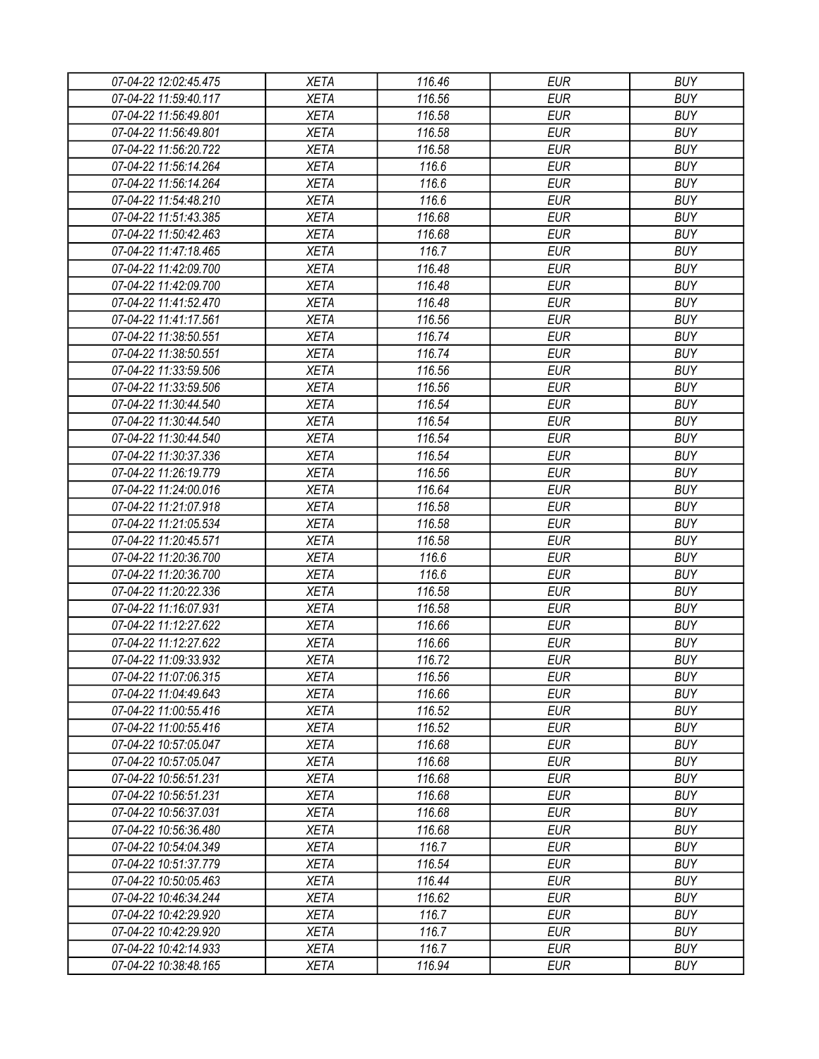| 07-04-22 12:02:45.475 | <b>XETA</b> | 116.46 | <b>EUR</b> | <b>BUY</b> |
|-----------------------|-------------|--------|------------|------------|
| 07-04-22 11:59:40.117 | <b>XETA</b> | 116.56 | <b>EUR</b> | <b>BUY</b> |
| 07-04-22 11:56:49.801 | <b>XETA</b> | 116.58 | <b>EUR</b> | <b>BUY</b> |
| 07-04-22 11:56:49.801 | <b>XETA</b> | 116.58 | <b>EUR</b> | <b>BUY</b> |
| 07-04-22 11:56:20.722 | <b>XETA</b> | 116.58 | <b>EUR</b> | <b>BUY</b> |
| 07-04-22 11:56:14.264 | <b>XETA</b> | 116.6  | <b>EUR</b> | <b>BUY</b> |
| 07-04-22 11:56:14.264 | <b>XETA</b> | 116.6  | <b>EUR</b> | <b>BUY</b> |
| 07-04-22 11:54:48.210 | <b>XETA</b> | 116.6  | <b>EUR</b> | <b>BUY</b> |
| 07-04-22 11:51:43.385 | <b>XETA</b> | 116.68 | <b>EUR</b> | <b>BUY</b> |
| 07-04-22 11:50:42.463 | <b>XETA</b> | 116.68 | <b>EUR</b> | <b>BUY</b> |
| 07-04-22 11:47:18.465 | <b>XETA</b> | 116.7  | <b>EUR</b> | <b>BUY</b> |
| 07-04-22 11:42:09.700 | <b>XETA</b> | 116.48 | <b>EUR</b> | <b>BUY</b> |
| 07-04-22 11:42:09.700 | <b>XETA</b> | 116.48 | <b>EUR</b> | <b>BUY</b> |
| 07-04-22 11:41:52.470 | <b>XETA</b> | 116.48 | <b>EUR</b> | <b>BUY</b> |
| 07-04-22 11:41:17.561 | <b>XETA</b> | 116.56 | <b>EUR</b> | <b>BUY</b> |
| 07-04-22 11:38:50.551 | <b>XETA</b> | 116.74 | <b>EUR</b> | <b>BUY</b> |
| 07-04-22 11:38:50.551 | <b>XETA</b> | 116.74 | <b>EUR</b> | <b>BUY</b> |
| 07-04-22 11:33:59.506 | <b>XETA</b> | 116.56 | <b>EUR</b> | <b>BUY</b> |
| 07-04-22 11:33:59.506 | <b>XETA</b> | 116.56 | <b>EUR</b> | <b>BUY</b> |
| 07-04-22 11:30:44.540 | <b>XETA</b> | 116.54 | <b>EUR</b> | <b>BUY</b> |
| 07-04-22 11:30:44.540 | <b>XETA</b> | 116.54 | <b>EUR</b> | <b>BUY</b> |
| 07-04-22 11:30:44.540 | <b>XETA</b> | 116.54 | <b>EUR</b> | <b>BUY</b> |
| 07-04-22 11:30:37.336 | <b>XETA</b> | 116.54 | <b>EUR</b> | <b>BUY</b> |
| 07-04-22 11:26:19.779 | <b>XETA</b> | 116.56 | <b>EUR</b> | <b>BUY</b> |
| 07-04-22 11:24:00.016 | <b>XETA</b> | 116.64 | <b>EUR</b> | <b>BUY</b> |
| 07-04-22 11:21:07.918 | <b>XETA</b> | 116.58 | <b>EUR</b> | <b>BUY</b> |
| 07-04-22 11:21:05.534 | <b>XETA</b> | 116.58 | <b>EUR</b> | <b>BUY</b> |
| 07-04-22 11:20:45.571 | <b>XETA</b> | 116.58 | <b>EUR</b> | <b>BUY</b> |
| 07-04-22 11:20:36.700 | <b>XETA</b> | 116.6  | <b>EUR</b> | <b>BUY</b> |
| 07-04-22 11:20:36.700 | <b>XETA</b> | 116.6  | <b>EUR</b> | <b>BUY</b> |
| 07-04-22 11:20:22.336 | <b>XETA</b> | 116.58 | <b>EUR</b> | <b>BUY</b> |
| 07-04-22 11:16:07.931 | <b>XETA</b> | 116.58 | <b>EUR</b> | <b>BUY</b> |
| 07-04-22 11:12:27.622 | <b>XETA</b> | 116.66 | <b>EUR</b> | <b>BUY</b> |
| 07-04-22 11:12:27.622 | <b>XETA</b> | 116.66 | <b>EUR</b> | <b>BUY</b> |
| 07-04-22 11:09:33.932 | <b>XETA</b> | 116.72 | <b>EUR</b> | <b>BUY</b> |
| 07-04-22 11:07:06.315 | <b>XETA</b> | 116.56 | <b>EUR</b> | <b>BUY</b> |
| 07-04-22 11:04:49.643 | <b>XETA</b> | 116.66 | <b>EUR</b> | <b>BUY</b> |
| 07-04-22 11:00:55.416 | <b>XETA</b> | 116.52 | <b>EUR</b> | <b>BUY</b> |
| 07-04-22 11:00:55.416 | <b>XETA</b> | 116.52 | <b>EUR</b> | <b>BUY</b> |
| 07-04-22 10:57:05.047 | <b>XETA</b> | 116.68 | <b>EUR</b> | <b>BUY</b> |
| 07-04-22 10:57:05.047 | <b>XETA</b> | 116.68 | <b>EUR</b> | <b>BUY</b> |
| 07-04-22 10:56:51.231 | <b>XETA</b> | 116.68 | <b>EUR</b> | <b>BUY</b> |
| 07-04-22 10:56:51.231 | <b>XETA</b> | 116.68 | <b>EUR</b> | <b>BUY</b> |
| 07-04-22 10:56:37.031 | <b>XETA</b> | 116.68 | <b>EUR</b> | <b>BUY</b> |
| 07-04-22 10:56:36.480 | <b>XETA</b> | 116.68 | <b>EUR</b> | <b>BUY</b> |
| 07-04-22 10:54:04.349 | <b>XETA</b> | 116.7  | <b>EUR</b> | <b>BUY</b> |
| 07-04-22 10:51:37.779 | <b>XETA</b> | 116.54 | <b>EUR</b> | <b>BUY</b> |
| 07-04-22 10:50:05.463 | <b>XETA</b> | 116.44 | <b>EUR</b> | <b>BUY</b> |
| 07-04-22 10:46:34.244 | <b>XETA</b> | 116.62 | <b>EUR</b> | <b>BUY</b> |
| 07-04-22 10:42:29.920 | <b>XETA</b> | 116.7  | <b>EUR</b> | <b>BUY</b> |
| 07-04-22 10:42:29.920 | <b>XETA</b> | 116.7  | <b>EUR</b> | <b>BUY</b> |
| 07-04-22 10:42:14.933 | <b>XETA</b> | 116.7  | <b>EUR</b> | <b>BUY</b> |
| 07-04-22 10:38:48.165 | <b>XETA</b> | 116.94 | <b>EUR</b> | <b>BUY</b> |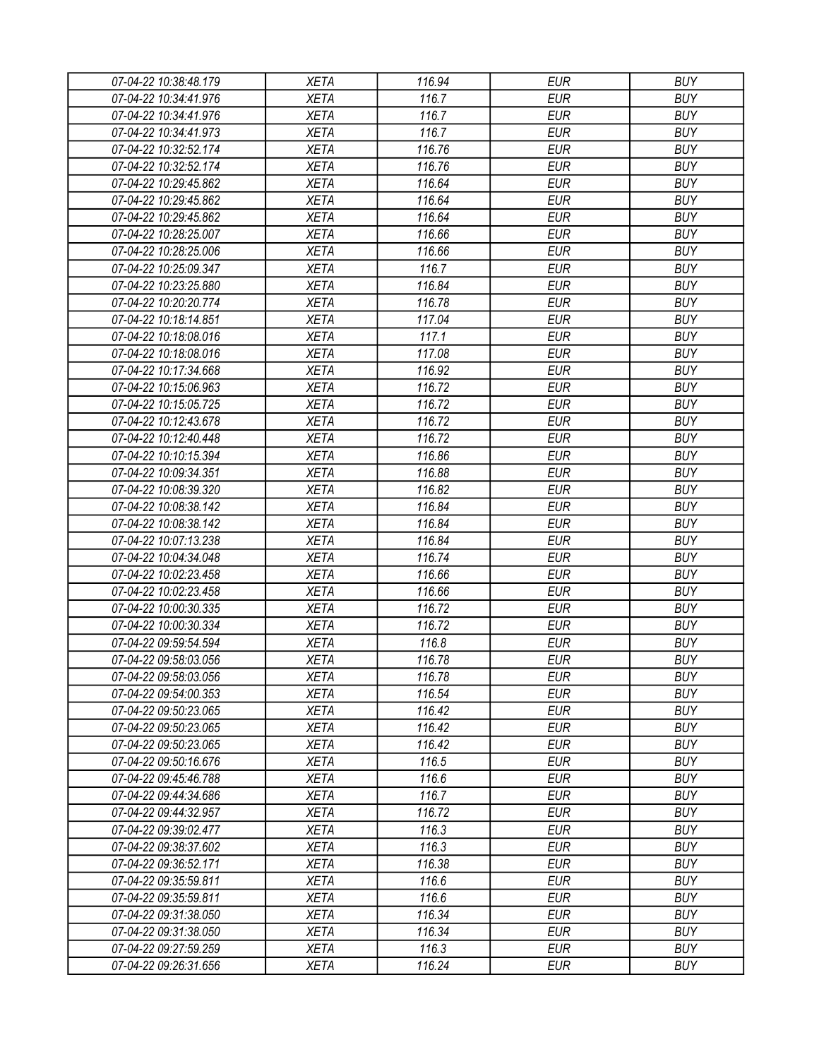| 07-04-22 10:38:48.179 | <b>XETA</b> | 116.94 | <b>EUR</b> | <b>BUY</b> |
|-----------------------|-------------|--------|------------|------------|
| 07-04-22 10:34:41.976 | <b>XETA</b> | 116.7  | <b>EUR</b> | <b>BUY</b> |
| 07-04-22 10:34:41.976 | <b>XETA</b> | 116.7  | <b>EUR</b> | <b>BUY</b> |
| 07-04-22 10:34:41.973 | <b>XETA</b> | 116.7  | <b>EUR</b> | <b>BUY</b> |
| 07-04-22 10:32:52.174 | <b>XETA</b> | 116.76 | <b>EUR</b> | <b>BUY</b> |
| 07-04-22 10:32:52.174 | <b>XETA</b> | 116.76 | <b>EUR</b> | <b>BUY</b> |
| 07-04-22 10:29:45.862 | <b>XETA</b> | 116.64 | <b>EUR</b> | <b>BUY</b> |
| 07-04-22 10:29:45.862 | <b>XETA</b> | 116.64 | <b>EUR</b> | <b>BUY</b> |
| 07-04-22 10:29:45.862 | <b>XETA</b> | 116.64 | <b>EUR</b> | <b>BUY</b> |
| 07-04-22 10:28:25.007 | <b>XETA</b> | 116.66 | <b>EUR</b> | <b>BUY</b> |
| 07-04-22 10:28:25.006 | <b>XETA</b> | 116.66 | <b>EUR</b> | <b>BUY</b> |
| 07-04-22 10:25:09.347 | <b>XETA</b> | 116.7  | <b>EUR</b> | <b>BUY</b> |
| 07-04-22 10:23:25.880 | <b>XETA</b> | 116.84 | <b>EUR</b> | <b>BUY</b> |
| 07-04-22 10:20:20.774 | <b>XETA</b> | 116.78 | <b>EUR</b> | <b>BUY</b> |
| 07-04-22 10:18:14.851 | <b>XETA</b> | 117.04 | <b>EUR</b> | <b>BUY</b> |
| 07-04-22 10:18:08.016 | <b>XETA</b> | 117.1  | <b>EUR</b> | <b>BUY</b> |
| 07-04-22 10:18:08.016 | <b>XETA</b> | 117.08 | <b>EUR</b> | <b>BUY</b> |
| 07-04-22 10:17:34.668 | <b>XETA</b> | 116.92 | <b>EUR</b> | <b>BUY</b> |
| 07-04-22 10:15:06.963 | <b>XETA</b> | 116.72 | <b>EUR</b> | <b>BUY</b> |
| 07-04-22 10:15:05.725 | <b>XETA</b> | 116.72 | <b>EUR</b> | <b>BUY</b> |
| 07-04-22 10:12:43.678 | <b>XETA</b> | 116.72 | <b>EUR</b> | <b>BUY</b> |
| 07-04-22 10:12:40.448 | <b>XETA</b> | 116.72 | <b>EUR</b> | <b>BUY</b> |
| 07-04-22 10:10:15.394 | <b>XETA</b> | 116.86 | <b>EUR</b> | <b>BUY</b> |
| 07-04-22 10:09:34.351 | <b>XETA</b> | 116.88 | <b>EUR</b> | <b>BUY</b> |
| 07-04-22 10:08:39.320 | <b>XETA</b> | 116.82 | <b>EUR</b> | <b>BUY</b> |
| 07-04-22 10:08:38.142 | <b>XETA</b> | 116.84 | <b>EUR</b> | <b>BUY</b> |
| 07-04-22 10:08:38.142 | <b>XETA</b> | 116.84 | <b>EUR</b> | <b>BUY</b> |
| 07-04-22 10:07:13.238 | <b>XETA</b> | 116.84 | <b>EUR</b> | <b>BUY</b> |
| 07-04-22 10:04:34.048 | <b>XETA</b> | 116.74 | <b>EUR</b> | <b>BUY</b> |
| 07-04-22 10:02:23.458 | <b>XETA</b> | 116.66 | <b>EUR</b> | <b>BUY</b> |
| 07-04-22 10:02:23.458 | <b>XETA</b> | 116.66 | <b>EUR</b> | <b>BUY</b> |
| 07-04-22 10:00:30.335 | <b>XETA</b> | 116.72 | <b>EUR</b> | <b>BUY</b> |
| 07-04-22 10:00:30.334 | <b>XETA</b> | 116.72 | <b>EUR</b> | <b>BUY</b> |
| 07-04-22 09:59:54.594 | <b>XETA</b> | 116.8  | <b>EUR</b> | <b>BUY</b> |
| 07-04-22 09:58:03.056 | <b>XETA</b> | 116.78 | <b>EUR</b> | <b>BUY</b> |
| 07-04-22 09:58:03.056 | <b>XETA</b> | 116.78 | <b>EUR</b> | <b>BUY</b> |
| 07-04-22 09:54:00.353 | <b>XETA</b> | 116.54 | <b>EUR</b> | <b>BUY</b> |
| 07-04-22 09:50:23.065 | <b>XETA</b> | 116.42 | <b>EUR</b> | <b>BUY</b> |
| 07-04-22 09:50:23.065 | <b>XETA</b> | 116.42 | <b>EUR</b> | <b>BUY</b> |
| 07-04-22 09:50:23.065 | <b>XETA</b> | 116.42 | <b>EUR</b> | <b>BUY</b> |
| 07-04-22 09:50:16.676 | <b>XETA</b> | 116.5  | <b>EUR</b> | <b>BUY</b> |
| 07-04-22 09:45:46.788 | <b>XETA</b> | 116.6  | <b>EUR</b> | <b>BUY</b> |
| 07-04-22 09:44:34.686 | <b>XETA</b> | 116.7  | <b>EUR</b> | <b>BUY</b> |
| 07-04-22 09:44:32.957 | <b>XETA</b> | 116.72 | <b>EUR</b> | <b>BUY</b> |
| 07-04-22 09:39:02.477 | <b>XETA</b> | 116.3  | <b>EUR</b> | <b>BUY</b> |
| 07-04-22 09:38:37.602 | <b>XETA</b> | 116.3  | <b>EUR</b> | <b>BUY</b> |
| 07-04-22 09:36:52.171 | <b>XETA</b> | 116.38 | <b>EUR</b> | <b>BUY</b> |
| 07-04-22 09:35:59.811 | <b>XETA</b> | 116.6  | <b>EUR</b> | <b>BUY</b> |
| 07-04-22 09:35:59.811 | <b>XETA</b> | 116.6  | <b>EUR</b> | <b>BUY</b> |
| 07-04-22 09:31:38.050 | <b>XETA</b> | 116.34 | <b>EUR</b> | <b>BUY</b> |
| 07-04-22 09:31:38.050 | <b>XETA</b> | 116.34 | <b>EUR</b> | <b>BUY</b> |
| 07-04-22 09:27:59.259 | <b>XETA</b> | 116.3  | <b>EUR</b> | <b>BUY</b> |
| 07-04-22 09:26:31.656 | <b>XETA</b> | 116.24 | <b>EUR</b> | <b>BUY</b> |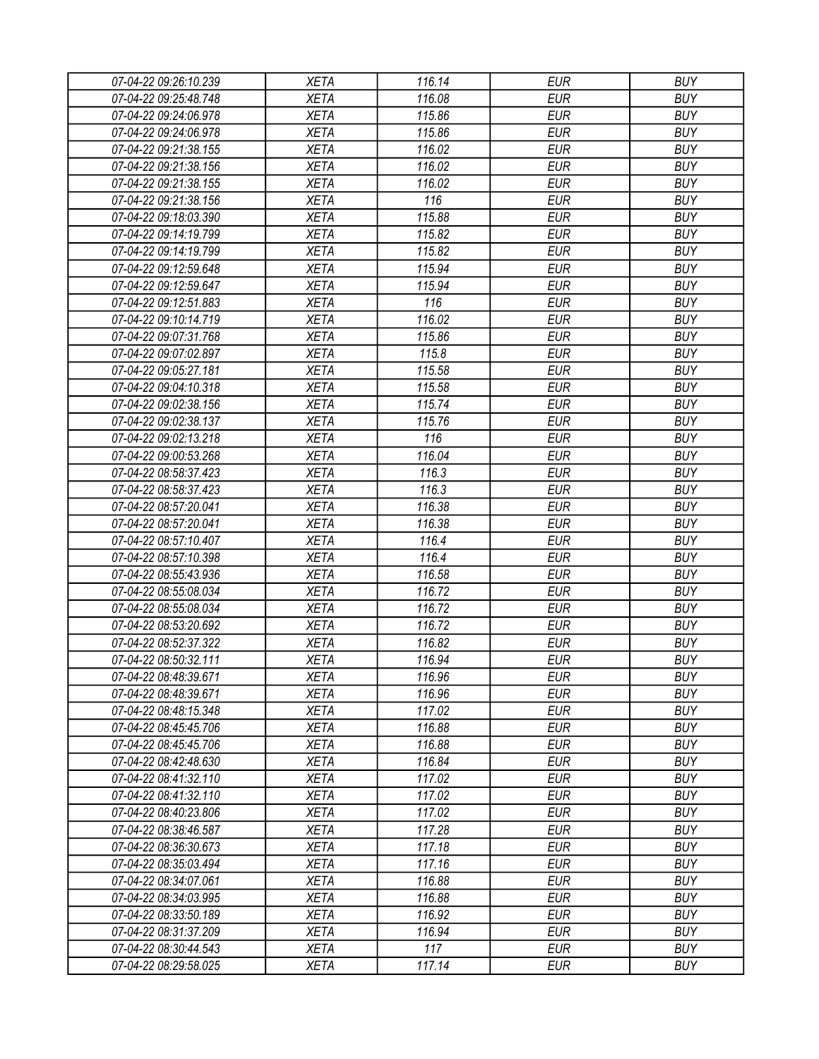| 07-04-22 09:26:10.239 | <b>XETA</b> | 116.14 | <b>EUR</b> | <b>BUY</b> |
|-----------------------|-------------|--------|------------|------------|
| 07-04-22 09:25:48.748 | <b>XETA</b> | 116.08 | <b>EUR</b> | <b>BUY</b> |
| 07-04-22 09:24:06.978 | <b>XETA</b> | 115.86 | <b>EUR</b> | <b>BUY</b> |
| 07-04-22 09:24:06.978 | <b>XETA</b> | 115.86 | <b>EUR</b> | <b>BUY</b> |
| 07-04-22 09:21:38.155 | <b>XETA</b> | 116.02 | <b>EUR</b> | <b>BUY</b> |
| 07-04-22 09:21:38.156 | <b>XETA</b> | 116.02 | <b>EUR</b> | <b>BUY</b> |
| 07-04-22 09:21:38.155 | <b>XETA</b> | 116.02 | <b>EUR</b> | <b>BUY</b> |
| 07-04-22 09:21:38.156 | <b>XETA</b> | 116    | <b>EUR</b> | <b>BUY</b> |
| 07-04-22 09:18:03.390 | <b>XETA</b> | 115.88 | <b>EUR</b> | <b>BUY</b> |
| 07-04-22 09:14:19.799 | <b>XETA</b> | 115.82 | <b>EUR</b> | <b>BUY</b> |
| 07-04-22 09:14:19.799 | <b>XETA</b> | 115.82 | <b>EUR</b> | <b>BUY</b> |
| 07-04-22 09:12:59.648 | <b>XETA</b> | 115.94 | <b>EUR</b> | <b>BUY</b> |
| 07-04-22 09:12:59.647 | <b>XETA</b> | 115.94 | <b>EUR</b> | <b>BUY</b> |
| 07-04-22 09:12:51.883 | <b>XETA</b> | 116    | <b>EUR</b> | <b>BUY</b> |
| 07-04-22 09:10:14.719 | <b>XETA</b> | 116.02 | <b>EUR</b> | <b>BUY</b> |
| 07-04-22 09:07:31.768 | <b>XETA</b> | 115.86 | <b>EUR</b> | <b>BUY</b> |
| 07-04-22 09:07:02.897 | <b>XETA</b> | 115.8  | <b>EUR</b> | <b>BUY</b> |
| 07-04-22 09:05:27.181 | <b>XETA</b> | 115.58 | <b>EUR</b> | <b>BUY</b> |
| 07-04-22 09:04:10.318 | <b>XETA</b> | 115.58 | <b>EUR</b> | <b>BUY</b> |
| 07-04-22 09:02:38.156 | <b>XETA</b> | 115.74 | <b>EUR</b> | <b>BUY</b> |
| 07-04-22 09:02:38.137 | <b>XETA</b> | 115.76 | <b>EUR</b> | <b>BUY</b> |
| 07-04-22 09:02:13.218 | <b>XETA</b> | 116    | <b>EUR</b> | <b>BUY</b> |
| 07-04-22 09:00:53.268 | <b>XETA</b> | 116.04 | <b>EUR</b> | <b>BUY</b> |
| 07-04-22 08:58:37.423 | <b>XETA</b> | 116.3  | <b>EUR</b> | <b>BUY</b> |
| 07-04-22 08:58:37.423 | <b>XETA</b> | 116.3  | <b>EUR</b> | <b>BUY</b> |
| 07-04-22 08:57:20.041 | <b>XETA</b> | 116.38 | <b>EUR</b> | <b>BUY</b> |
| 07-04-22 08:57:20.041 | <b>XETA</b> | 116.38 | <b>EUR</b> | <b>BUY</b> |
| 07-04-22 08:57:10.407 | <b>XETA</b> | 116.4  | <b>EUR</b> | <b>BUY</b> |
| 07-04-22 08:57:10.398 | <b>XETA</b> | 116.4  | <b>EUR</b> | <b>BUY</b> |
| 07-04-22 08:55:43.936 | <b>XETA</b> | 116.58 | <b>EUR</b> | <b>BUY</b> |
| 07-04-22 08:55:08.034 | <b>XETA</b> | 116.72 | <b>EUR</b> | <b>BUY</b> |
| 07-04-22 08:55:08.034 | <b>XETA</b> | 116.72 | <b>EUR</b> | <b>BUY</b> |
| 07-04-22 08:53:20.692 | <b>XETA</b> | 116.72 | <b>EUR</b> | <b>BUY</b> |
| 07-04-22 08:52:37.322 | <b>XETA</b> | 116.82 | <b>EUR</b> | <b>BUY</b> |
| 07-04-22 08:50:32.111 |             |        | <b>EUR</b> | <b>BUY</b> |
|                       | <b>XETA</b> | 116.94 |            |            |
| 07-04-22 08:48:39.671 | <b>XETA</b> | 116.96 | <b>EUR</b> | <b>BUY</b> |
| 07-04-22 08:48:39.671 | <b>XETA</b> | 116.96 | <b>EUR</b> | <b>BUY</b> |
| 07-04-22 08:48:15.348 | <b>XETA</b> | 117.02 | <b>EUR</b> | <b>BUY</b> |
| 07-04-22 08:45:45.706 | <b>XETA</b> | 116.88 | <b>EUR</b> | <b>BUY</b> |
| 07-04-22 08:45:45.706 | <b>XETA</b> | 116.88 | <b>EUR</b> | <b>BUY</b> |
| 07-04-22 08:42:48.630 | <b>XETA</b> | 116.84 | <b>EUR</b> | <b>BUY</b> |
| 07-04-22 08:41:32.110 | <b>XETA</b> | 117.02 | <b>EUR</b> | <b>BUY</b> |
| 07-04-22 08:41:32.110 | <b>XETA</b> | 117.02 | <b>EUR</b> | <b>BUY</b> |
| 07-04-22 08:40:23.806 | <b>XETA</b> | 117.02 | <b>EUR</b> | <b>BUY</b> |
| 07-04-22 08:38:46.587 | <b>XETA</b> | 117.28 | <b>EUR</b> | <b>BUY</b> |
| 07-04-22 08:36:30.673 | <b>XETA</b> | 117.18 | <b>EUR</b> | <b>BUY</b> |
| 07-04-22 08:35:03.494 | <b>XETA</b> | 117.16 | <b>EUR</b> | <b>BUY</b> |
| 07-04-22 08:34:07.061 | <b>XETA</b> | 116.88 | <b>EUR</b> | <b>BUY</b> |
| 07-04-22 08:34:03.995 | <b>XETA</b> | 116.88 | <b>EUR</b> | <b>BUY</b> |
| 07-04-22 08:33:50.189 | <b>XETA</b> | 116.92 | <b>EUR</b> | <b>BUY</b> |
| 07-04-22 08:31:37.209 | <b>XETA</b> | 116.94 | <b>EUR</b> | <b>BUY</b> |
| 07-04-22 08:30:44.543 | <b>XETA</b> | 117    | <b>EUR</b> | <b>BUY</b> |
| 07-04-22 08:29:58.025 | <b>XETA</b> | 117.14 | <b>EUR</b> | <b>BUY</b> |